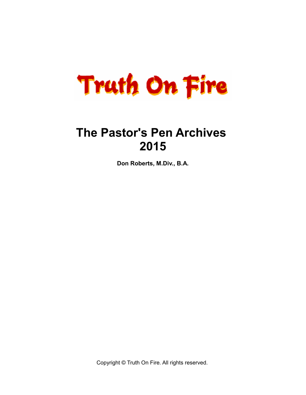

# **The Pastor's Pen Archives 2015**

**Don Roberts, M.Div., B.A.**

Copyright © Truth On Fire. All rights reserved.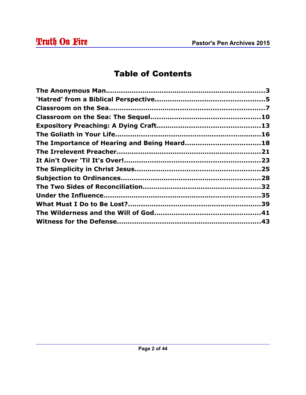# Table of Contents

| The Importance of Hearing and Being Heard18 |  |
|---------------------------------------------|--|
|                                             |  |
|                                             |  |
|                                             |  |
|                                             |  |
|                                             |  |
|                                             |  |
|                                             |  |
|                                             |  |
|                                             |  |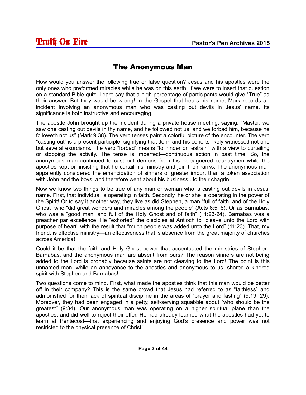#### The Anonymous Man

How would you answer the following true or false question? Jesus and his apostles were the only ones who preformed miracles while he was on this earth. If we were to insert that question on a standard Bible quiz, I dare say that a high percentage of participants would give "True" as their answer. But they would be wrong! In the Gospel that bears his name, Mark records an incident involving an anonymous man who was casting out devils in Jesus' name. Its significance is both instructive and encouraging.

The apostle John brought up the incident during a private house meeting, saying: "Master, we saw one casting out devils in thy name, and he followed not us: and we forbad him, because he followeth not us" (Mark 9:38). The verb tenses paint a colorful picture of the encounter. The verb "casting out" is a present participle, signifying that John and his cohorts likely witnessed not one but several exorcisms. The verb "forbad" means "to hinder or restrain" with a view to curtailing or stopping the activity. The tense is imperfect—continuous action in past time. So, the anonymous man continued to cast out demons from his beleaguered countrymen while the apostles kept on insisting that he curtail his ministry and join their ranks. The anonymous man apparently considered the emancipation of sinners of greater import than a token association with John and the boys, and therefore went about his business...to their chagrin.

Now we know two things to be true of any man or woman who is casting out devils in Jesus' name. First, that individual is operating in faith. Secondly, he or she is operating in the power of the Spirit! Or to say it another way, they live as did Stephen, a man "full of faith, and of the Holy Ghost" who "did great wonders and miracles among the people" (Acts 6:5, 8). Or as Barnabas, who was a "good man, and full of the Holy Ghost and of faith" (11:23-24). Barnabas was a preacher par excellence. He "exhorted" the disciples at Antioch to "cleave unto the Lord with purpose of heart" with the result that "much people was added unto the Lord" (11:23). That, my friend, is effective ministry—an effectiveness that is absence from the great majority of churches across America!

Could it be that the faith and Holy Ghost power that accentuated the ministries of Stephen, Barnabas, and the anonymous man are absent from ours? The reason sinners are not being added to the Lord is probably because saints are not cleaving to the Lord! The point is this unnamed man, while an annoyance to the apostles and anonymous to us, shared a kindred spirit with Stephen and Barnabas!

Two questions come to mind. First, what made the apostles think that this man would be better off in their company? This is the same crowd that Jesus had referred to as "faithless" and admonished for their lack of spiritual discipline in the areas of "prayer and fasting" (9:19, 29). Moreover, they had been engaged in a petty, self-serving squabble about "who should be the greatest" (9:34). Our anonymous man was operating on a higher spiritual plane than the apostles, and did well to reject their offer. He had already learned what the apostles had yet to learn at Pentecost—that experiencing and enjoying God's presence and power was not restricted to the physical presence of Christ!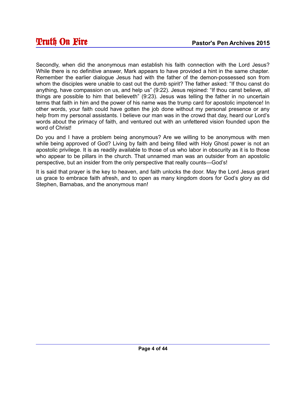Secondly, when did the anonymous man establish his faith connection with the Lord Jesus? While there is no definitive answer, Mark appears to have provided a hint in the same chapter. Remember the earlier dialogue Jesus had with the father of the demon-possessed son from whom the disciples were unable to cast out the dumb spirit? The father asked: "If thou canst do anything, have compassion on us, and help us" (9:22). Jesus rejoined: "If thou canst believe, all things are possible to him that believeth" (9:23). Jesus was telling the father in no uncertain terms that faith in him and the power of his name was the trump card for apostolic impotence! In other words, your faith could have gotten the job done without my personal presence or any help from my personal assistants. I believe our man was in the crowd that day, heard our Lord's words about the primacy of faith, and ventured out with an unfettered vision founded upon the word of Christ!

Do you and I have a problem being anonymous? Are we willing to be anonymous with men while being approved of God? Living by faith and being filled with Holy Ghost power is not an apostolic privilege. It is as readily available to those of us who labor in obscurity as it is to those who appear to be pillars in the church. That unnamed man was an outsider from an apostolic perspective, but an insider from the only perspective that really counts—God's!

It is said that prayer is the key to heaven, and faith unlocks the door. May the Lord Jesus grant us grace to embrace faith afresh, and to open as many kingdom doors for God's glory as did Stephen, Barnabas, and the anonymous man!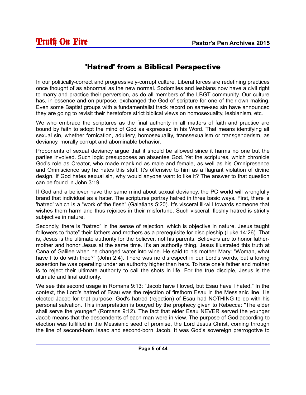#### 'Hatred' from a Biblical Perspective

In our politically-correct and progressively-corrupt culture, Liberal forces are redefining practices once thought of as abnormal as the new normal. Sodomites and lesbians now have a civil right to marry and practice their perversion, as do all members of the LBGT community. Our culture has, in essence and on purpose, exchanged the God of scripture for one of their own making. Even some Baptist groups with a fundamentalist track record on same-sex sin have announced they are going to revisit their heretofore strict biblical views on homosexuality, lesbianism, etc.

We who embrace the scriptures as the final authority in all matters of faith and practice are bound by faith to adopt the mind of God as expressed in his Word. That means identifying all sexual sin, whether fornication, adultery, homosexuality, transsexualism or transgenderism, as deviancy, morally corrupt and abominable behavior.

Proponents of sexual deviancy argue that it should be allowed since it harms no one but the parties involved. Such logic presupposes an absentee God. Yet the scriptures, which chronicle God's role as Creator, who made mankind as male and female, as well as his Omnipresence and Omniscience say he hates this stuff. It's offensive to him as a flagrant violation of divine design. If God hates sexual sin, why would anyone want to like it? The answer to that question can be found in John 3:19.

If God and a believer have the same mind about sexual deviancy, the PC world will wrongfully brand that individual as a hater. The scriptures portray hatred in three basic ways. First, there is 'hatred' which is a "work of the flesh" (Galatians 5:20). It's visceral ill-will towards someone that wishes them harm and thus rejoices in their misfortune. Such visceral, fleshly hatred is strictly subjective in nature.

Secondly, there is "hatred" in the sense of rejection, which is objective in nature. Jesus taught followers to "hate" their fathers and mothers as a prerequisite for discipleship (Luke 14:26). That is, Jesus is the ultimate authority for the believer, not his parents. Believers are to honor fathermother and honor Jesus at the same time. It's an authority thing. Jesus illustrated this truth at Cana of Galilee when he changed water into wine. He said to his mother Mary: "Woman, what have I to do with thee?" (John 2:4). There was no disrespect in our Lord's words, but a loving assertion he was operating under an authority higher than hers. To hate one's father and mother is to reject their ultimate authority to call the shots in life. For the true disciple, Jesus is the ultimate and final authority.

We see this second usage in Romans 9:13: "Jacob have I loved, but Esau have I hated." In the context, the Lord's hatred of Esau was the rejection of firstborn Esau in the Messianic line. He elected Jacob for that purpose. God's hatred (rejection) of Esau had NOTHING to do with his personal salvation. This interpretation is bouyed by the prophecy given to Rebecca: "The elder shall serve the younger" (Romans 9:12). The fact that elder Esau NEVER served the younger Jacob means that the descendents of each man were in view. The purpose of God according to election was fulfilled in the Messianic seed of promise, the Lord Jesus Christ, coming through the line of second-born Isaac and second-born Jacob. It was God's sovereign prerrogotive to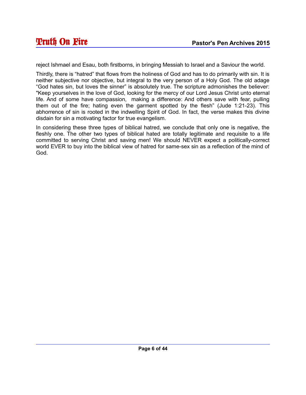reject Ishmael and Esau, both firstborns, in bringing Messiah to Israel and a Saviour the world.

Thirdly, there is "hatred" that flows from the holiness of God and has to do primarily with sin. It is neither subjective nor objective, but integral to the very person of a Holy God. The old adage "God hates sin, but loves the sinner" is absolutely true. The scripture admonishes the believer: "Keep yourselves in the love of God, looking for the mercy of our Lord Jesus Christ unto eternal life. And of some have compassion, making a difference: And others save with fear, pulling them out of the fire; hating even the garment spotted by the flesh" (Jude 1:21-23). This abhorrence of sin is rooted in the indwelling Spirit of God. In fact, the verse makes this divine disdain for sin a motivating factor for true evangelism.

In considering these three types of biblical hatred, we conclude that only one is negative, the fleshly one. The other two types of biblical hated are totally legitimate and requisite to a life committed to serving Christ and saving men! We should NEVER expect a politically-correct world EVER to buy into the biblical view of hatred for same-sex sin as a reflection of the mind of God.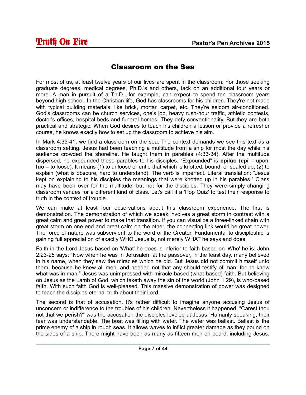#### Classroom on the Sea

For most of us, at least twelve years of our lives are spent in the classroom. For those seeking graduate degrees, medical degrees, Ph.D.'s and others, tack on an additional four years or more. A man in pursuit of a Th.D., for example, can expect to spend ten classroom years beyond high school. In the Christian life, God has classrooms for his children. They're not made with typical building materials, like brick, mortar, carpet, etc. They're seldom air-conditioned. God's classrooms can be church services, one's job, heavy rush-hour traffic, athletic contests, doctor's offices, hospital beds and funeral homes. They defy conventionality. But they are both practical and strategic. When God desires to teach his children a lesson or provide a refresher course, he knows exactly how to set up the classroom to achieve his aim.

In Mark 4:35-41, we find a classroom on the sea. The context demands we see this text as a classroom setting. Jesus had been teaching a multitude from a ship for most the day while his audience crowded the shoreline. He taught them in parables (4:33-34). After the multitude dispersed, he expounded these parables to his disciples. "Expounded" is **epiluo** (**epi** = upon, **luo** = to loose). It means (1) to unloose or untie that which is knotted, bound, or sealed up; (2) to explain (what is obscure, hard to understand). The verb is imperfect. Literal translation: "Jesus kept on explaining to his disciples the meanings that were knotted up in his parables." Class may have been over for the multitude, but not for the disciples. They were simply changing classroom venues for a different kind of class. Let's call it a 'Pop Quiz' to test their response to truth in the context of trouble.

We can make at least four observations about this classroom experience. The first is demonstration. The demonstration of which we speak involves a great storm in contrast with a great calm and great power to make that transition. If you can visualize a three-linked chain with great storm on one end and great calm on the other, the connecting link would be great power. The force of nature was subservient to the word of the Creator. Fundamental to discipleship is gaining full appreciation of exactly WHO Jesus is, not merely WHAT he says and does.

Faith in the Lord Jesus based on 'What' he does is inferior to faith based on 'Who' he is. John 2:23-25 says: "Now when he was in Jerusalem at the passover, in the feast day, many believed in his name, when they saw the miracles which he did. But Jesus did not commit himself unto them, because he knew all men, and needed not that any should testify of man: for he knew what was in man." Jesus was unimpressed with miracle-based (what-based) faith. But believing on Jesus as the Lamb of God, which taketh away the sin of the world (John 1:29), is who-based faith. With such faith God is well-pleased. This massive demonstration of power was designed to teach the disciples eternal truth about their Lord.

The second is that of accusation. It's rather difficult to imagine anyone accusing Jesus of unconcern or indifference to the troubles of his children. Nevertheless it happened. "Carest thou not that we perish?" was the accusation the disciples leveled at Jesus. Humanly speaking, their fear was understandable. The boat was filling with water. The water was ballast. Ballast is the prime enemy of a ship in rough seas. It allows waves to inflict greater damage as they pound on the sides of a ship. There might have been as many as fifteen men on board, including Jesus.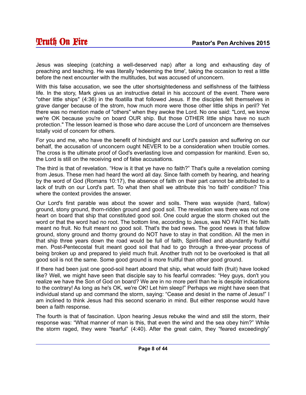Jesus was sleeping (catching a well-deserved nap) after a long and exhausting day of preaching and teaching. He was literally 'redeeming the time', taking the occasion to rest a little before the next encounter with the multitudes, but was accused of unconcern.

With this false accusation, we see the utter shortsightedeness and selfishness of the faithless life. In the story, Mark gives us an instructive detail in his acccount of the event. There were "other little ships" (4:36) in the floatilla that followed Jesus. If the disciples felt themselves in grave danger because of the strom, how much more were those other little ships in peril? Yet there was no mention made of "others" when they awoke the Lord. No one said: "Lord, we know we're OK because you're on board OUR ship. But those OTHER little ships have no such protection." The lesson learned is those who dare accuse the Lord of unconcern are themselves totally void of concern for others.

For you and me, who have the benefit of hindsight and our Lord's passion and suffering on our behalf, the accusation of unconcern ought NEVER to be a consideration when trouble comes. The cross is the ultimate proof of God's everlasting love and compassion for mankind. Even so, the Lord is still on the receiving end of false accusations.

The third is that of revelation. "How is it that ye have no faith?" That's quite a revelation coming from Jesus. These men had heard the word all day. Since faith cometh by hearing, and hearing by the word of God (Romans 10:17), the absence of faith on their part cannot be attributed to a lack of truth on our Lord's part. To what then shall we attribute this 'no faith' condition? This where the context provides the answer.

Our Lord's first parable was about the sower and soils. There was wayside (hard, fallow) ground, stony ground, thorn-ridden ground and good soil. The revelation was there was not one heart on board that ship that constituted good soil. One could argue the storm choked out the word or that the word had no root. The bottom line, according to Jesus, was NO FAITH. No faith meant no fruit. No fruit meant no good soil. That's the bad news. The good news is that fallow ground, stony ground and thorny ground do NOT have to stay in that condition. All the men in that ship three years down the road would be full of faith, Spirit-filled and abundantly fruitful men. Post-Pentecostal fruit meant good soil that had to go through a three-year process of being broken up and prepared to yield much fruit. Another truth not to be overlooked is that all good soil is not the same. Some good ground is more fruitful than other good ground.

If there had been just one good-soil heart aboard that ship, what would faith (fruit) have looked like? Well, we might have seen that disciple say to his fearful comrades: "Hey guys, don't you realize we have the Son of God on board? We are in no more peril than he is despite indications to the contrary! As long as he's OK, we're OK! Let him sleep!" Perhaps we might have seen that individual stand up and command the storm, saying: "Cease and desist in the name of Jesus!" I am inclined to think Jesus had this second scenario in mind. But either response would have been a faith response.

The fourth is that of fascination. Upon hearing Jesus rebuke the wind and still the storm, their response was: "What manner of man is this, that even the wind and the sea obey him?" While the storm raged, they were "fearful" (4:40). After the great calm, they "feared exceedingly"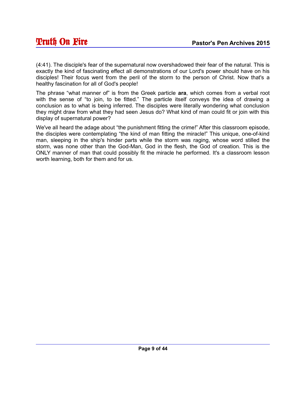(4:41). The disciple's fear of the supernatural now overshadowed their fear of the natural. This is exactly the kind of fascinating effect all demonstrations of our Lord's power should have on his disciples! Their focus went from the peril of the storm to the person of Christ. Now that's a healthy fascination for all of God's people!

The phrase "what manner of" is from the Greek particle **ara**, which comes from a verbal root with the sense of "to join, to be fitted." The particle itself conveys the idea of drawing a conclusion as to what is being inferred. The disciples were literally wondering what conclusion they might draw from what they had seen Jesus do? What kind of man could fit or join with this display of supernatural power?

We've all heard the adage about "the punishment fitting the crime!" After this classroom episode, the disciples were contemplating "the kind of man fitting the miracle!" This unique, one-of-kind man, sleeping in the ship's hinder parts while the storm was raging, whose word stilled the storm, was none other than the God-Man, God in the flesh, the God of creation. This is the ONLY manner of man that could possibly fit the miracle he performed. It's a classroom lesson worth learning, both for them and for us.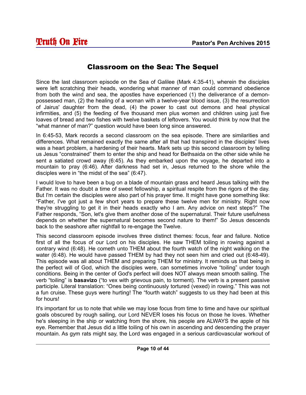#### Classroom on the Sea: The Sequel

Since the last classroom episode on the Sea of Galilee (Mark 4:35-41), wherein the disciples were left scratching their heads, wondering what manner of man could command obedience from both the wind and sea, the apostles have experienced (1) the deliverance of a demonpossessed man, (2) the healing of a woman with a twelve-year blood issue, (3) the resurrection of Jairus' daughter from the dead, (4) the power to cast out demons and heal physical infirmities, and (5) the feeding of five thousand men plus women and children using just five loaves of bread and two fishes with twelve baskets of leftovers. You would think by now that the "what manner of man?" question would have been long since answered.

In 6:45-53, Mark records a second classroom on the sea episode. There are similarities and differences. What remained exactly the same after all that had transpired in the disciples' lives was a heart problem, a hardening of their hearts. Mark sets up this second classroom by telling us Jesus "constrained" them to enter the ship and head for Bethsaida on the other side while he sent a satiated crowd away (6:45). As they embarked upon the voyage, he departed into a mountain to pray (6:46). After darkness had set in, Jesus returned to the shore while the disciples were in "the midst of the sea" (6:47).

I would love to have been a bug on a blade of mountain grass and heard Jesus talking with the Father. It was no doubt a time of sweet fellowship, a spiritual respite from the rigors of the day. But I'm certain the disciples were also part of his prayer time. It might have gone something like: "Father, I've got just a few short years to prepare these twelve men for ministry. Right now they're struggling to get it in their heads exactly who I am. Any advice on next steps?" The Father responds, "Son, let's give them another dose of the supernatural. Their future usefulness depends on whether the supernatural becomes second nature to them!" So Jesus descends back to the seashore after nightfall to re-engage the Twelve.

This second classroom episode involves three distinct themes: focus, fear and failure. Notice first of all the focus of our Lord on his disciples. He saw THEM toiling in rowing against a contrary wind (6:48). He cometh unto THEM about the fourth watch of the night walking on the water (6:48). He would have passed THEM by had they not seen him and cried out (6:48-49). This episode was all about THEM and preparing THEM for ministry. It reminds us that being in the perfect will of God, which the disciples were, can sometimes involve "toiling" under tough conditions. Being in the center of God's perfect will does NOT always mean smooth sailing. The verb "toiling" is **basavizo** ("to vex with grievous pain, to torment). The verb is a present passive participle. Literal translation: "Ones being continuously tortured (vexed) in rowing." This was not a fun cruise. These guys were hurting! The "fourth watch" suggests to us they had been at this for hours!

It's important for us to note that while we may lose focus from time to time and have our spiritual goals obscured by rough sailing, our Lord NEVER loses his focus on those he loves. Whether he's sleeping in the ship or watching from the shore, his people are ALWAYS the apple of his eye. Remember that Jesus did a little toiling of his own in ascending and descending the prayer mountain. As gym rats might say, the Lord was engaged in a serious cardiovascular workout of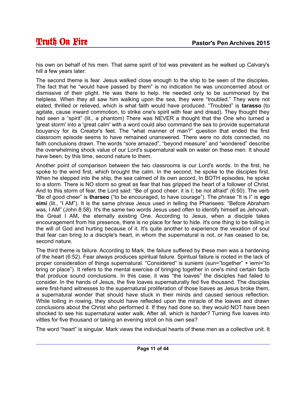his own on behalf of his men. That same spirit of toil was prevalent as he walked up Calvary's hill a few years later.

The second theme is fear. Jesus walked close enough to the ship to be seen of the disciples. The fact that he "would have passed by them" is no indication he was unconcerned about or dismissive of their plight. He was there to help. He needed only to be summoned by the helpless. When they all saw him walking upon the sea, they were "troubled." They were not elated, thrilled or relieved, which is what faith would have produced. "Troubled" is **tarasso** (to agitate, cause inward commotion, to strike one's spirit with fear and dread). They thought they had seen a "spirit" (lit., a phantom) There was NEVER a thought that the One who turned a 'great storm' into a 'great calm' with a word could also command the sea to provide supernatural bouyancy for its Creator's feet. The "what manner of man?" question that ended the first classroom episode seems to have remained unanswered. There were no dots connected, no faith conclusions drawn. The words "sore amazed", "beyond measure" and "wondered" describe the overwhelming shock value of our Lord's supernatural walk on water on these men. It should have been, by this time, second nature to them.

Another point of comparison between the two classrooms is our Lord's words. In the first, he spoke to the wind first, which brought the calm. In the second, he spoke to the disciples first. When he stepped into the ship, the sea calmed of its own accord, In BOTH episodes, he spoke to a storm. There is NO storm so great as fear that has gripped the heart of a follower of Christ. And to this storm of fear, the Lord said: "Be of good cheer: it is I; be not afraid" (6:50). The verb "Be of good cheer" is **tharseo** ("to be encouraged, to have courage"). The phrase "It is I" is **ego eimi** (lit., "I AM"). It is the same phrase Jesus used in telling the Pharisees: "Before Abraham was, I AM" (John 8:58). It's the same two words Jesus used often to identify himself as Jehovah, the Great I AM, the eternally existing One. According to Jesus, when a disciple takes encouragement from his presence, there is no place for fear to hide. It's one thing to be toiling in the will of God and hurting because of it. It's quite another to experience the vexation of soul that fear can bring to a disciple's heart, in whom the supernatural is not, or has ceased to be, second nature.

The third theme is failure. According to Mark, the failure suffered by these men was a hardening of the heart (6:52). Fear always produces spiritual failure. Spiritual failure is rooted in the lack of proper consideration of things supernatural. "Considered" is suniemi (sun="together" + iemi="to bring or place"). It refers to the mental exercise of bringing together in one's mind certain facts that produce sound conclusions. In this case, it was "the loaves" the disciples had failed to consider. In the hands of Jesus, the five loaves supernaturally fed five thousand. The disciples were first-hand witnesses to the supernatural proliferation of those loaves as Jesus broke them, a supernatural wonder that should have stuck in their minds and caused serious reflection. While toiling in rowing, they should have reflected upon the miracle of the loaves and drawn conclusions about the Christ who performed it. If they had done so, they would NOT have been shocked to see his supernatural water walk. After all, which is harder? Turning five loaves into vittles for five thousand or taking an evening stroll on his own sea?

The word "heart" is singular. Mark views the individual hearts of these men as a collective unit. It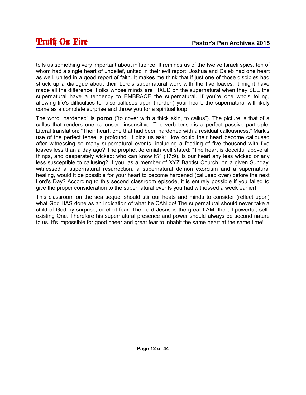tells us something very important about influence. It reminds us of the twelve Israeli spies, ten of whom had a single heart of unbelief, united in their evil report. Joshua and Caleb had one heart as well, united in a good report of faith. It makes me think that if just one of those disciples had struck up a dialogue about their Lord's supernatural work with the five loaves, it might have made all the difference. Folks whose minds are FIXED on the supernatural when they SEE the supernatural have a tendency to EMBRACE the supernatural. If you're one who's toiling, allowing life's difficulties to raise calluses upon (harden) your heart, the supernatural will likely come as a complete surprise and throw you for a spiritual loop.

The word "hardened" is **poroo** ("to cover with a thick skin, to callus"). The picture is that of a callus that renders one calloused, insensitive. The verb tense is a perfect passive participle. Literal translation: "Their heart, one that had been hardened with a residual callousness." Mark's use of the perfect tense is profound. It bids us ask: How could their heart become calloused after witnessing so many supernatural events, including a feeding of five thousand with five loaves less than a day ago? The prophet Jeremiah well stated: "The heart is deceitful above all things, and desperately wicked: who can know it?" (17:9). Is our heart any less wicked or any less susceptible to callusing? If you, as a member of XYZ Baptist Church, on a given Sunday, witnessed a supernatural resurrection, a supernatural demon exorcism and a supernatural healing, would it be possible for your heart to become hardened (callused over) before the next Lord's Day? According to this second classroom episode, it is entirely possible if you failed to give the proper consideration to the supernatural events you had witnessed a week earlier!

This classroom on the sea sequel should stir our heats and minds to consider (reflect upon) what God HAS done as an indication of what he CAN do! The supernatural should never take a child of God by surprise, or elicit fear. The Lord Jesus is the great I AM, the all-powerful, selfexisting One. Therefore his supernatural presence and power should always be second nature to us. It's impossible for good cheer and great fear to inhabit the same heart at the same time!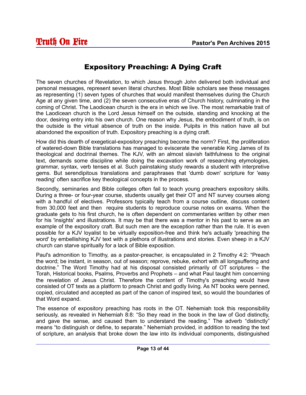# Expository Preaching: A Dying Craft

The seven churches of Revelation, to which Jesus through John delivered both individual and personal messages, represent seven literal churches. Most Bible scholars see these messages as representing (1) seven types of churches that would manifest themselves during the Church Age at any given time, and (2) the seven consecutive eras of Church history, culminating in the coming of Christ. The Laodicean church is the era in which we live. The most remarkable trait of the Laodicean church is the Lord Jesus himself on the outside, standing and knocking at the door, desiring entry into his own church. One reason why Jesus, the embodiment of truth, is on the outside is the virtual absence of truth on the inside. Pulpits in this nation have all but abandoned the exposition of truth. Expository preaching is a dying craft.

How did this dearth of exegetical-expository preaching become the norm? First, the proliferation of watered-down Bible translations has managed to eviscerate the venerable King James of its theological and doctrinal themes. The KJV, with an almost slavish faithfulness to the original text, demands some discipline while doing the excavation work of researching etymologies, grammar, syntax, verb tenses et al. Such painstaking study rewards a student with interpretive gems. But serendipitous translations and paraphrases that 'dumb down' scripture for 'easy reading' often sacrifice key theological concepts in the process.

Secondly, seminaries and Bible colleges often fail to teach young preachers expository skills. During a three- or four-year course, students usually get their OT and NT survey courses along with a handful of electives. Professors typically teach from a course outline, discuss content from 30,000 feet and then require students to reproduce course notes on exams. When the graduate gets to his first church, he is often dependent on commentaries written by other men for his 'insights' and illustrations. It may be that there was a mentor in his past to serve as an example of the expository craft. But such men are the exception rather than the rule. It is even possible for a KJV loyalist to be virtually exposition-free and think he's actually 'preaching the word' by embellishing KJV text with a plethora of illustrations and stories. Even sheep in a KJV church can starve spiritually for a lack of Bible exposition.

Paul's admonition to Timothy, as a pastor-preacher, is encapsulated in 2 Timothy 4:2: "Preach the word; be instant, in season, out of season; reprove, rebuke, exhort with all longsuffering and doctrine." The Word Timothy had at his disposal consisted primarily of OT scriptures – the Torah, Historical books, Psalms, Proverbs and Prophets – and what Paul taught him concerning the revelation of Jesus Christ. Therefore the content of Timothy's preaching would have consisted of OT texts as a platform to preach Christ and godly living. As NT books were penned, copied, circulated and accepted as part of the canon of inspired text, so would the boundaries of that Word expand.

The essence of expository preaching has roots in the OT. Nehemiah took this responsibility seriously, as revealed in Nehemiah 8:8: "So they read in the book in the law of God distinctly, and gave the sense, and caused them to understand the reading." The adverb "distinctly" means "to distinguish or define, to separate." Nehemiah provided, in addition to reading the text of scripture, an analysis that broke down the law into its individual components, distinguished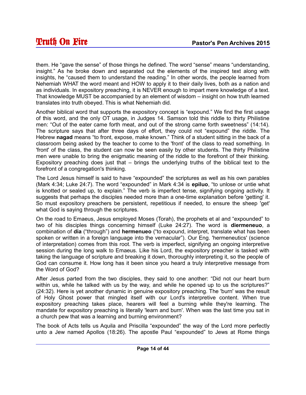them. He "gave the sense" of those things he defined. The word "sense" means "understanding, insight." As he broke down and separated out the elements of the inspired text along with insights, he "caused them to understand the reading." In other words, the people learned from Nehemiah WHAT the word meant and HOW to apply it to their daily lives, both as a nation and as individuals. In expository preaching, it is NEVER enough to impart mere knowledge of a text. That knowledge MUST be accompanied by an element of wisdom – insight on how truth learned translates into truth obeyed. This is what Nehemiah did.

Another biblical word that supports the expository concept is "expound." We find the first usage of this word, and the only OT usage, in Judges 14. Samson told this riddle to thirty Philistine men: "Out of the eater came forth meat, and out of the strong came forth sweetness" (14:14). The scripture says that after three days of effort, they could not "expound" the riddle. The Hebrew **nagad** means "to front, expose, make known." Think of a student sitting in the back of a classroom being asked by the teacher to come to the 'front' of the class to read something. In 'front' of the class, the student can now be seen easily by other students. The thirty Philistine men were unable to bring the enigmatic meaning of the riddle to the forefront of their thinking. Expository preaching does just that – brings the underlying truths of the biblical text to the forefront of a congregation's thinking.

The Lord Jesus himself is said to have "expounded" the scriptures as well as his own parables (Mark 4:34; Luke 24:7). The word "expounded" in Mark 4:34 is **epiluo**, "to unlose or untie what is knotted or sealed up, to explain." The verb is imperfect tense, signifying ongoing activity. It suggests that perhaps the disciples needed more than a one-time explanation before 'getting' it. So must expository preachers be persistent, repetitious if needed, to ensure the sheep 'get' what God is saying through the scriptures.

On the road to Emaeus, Jesus employed Moses (Torah), the prophets et al and "expounded" to two of his disciples things concerning himself (Luke 24:27). The word is **diermeneuo**, a combination of **dia** ("through") and **hermenueo** ("to expound, interpret, translate what has been spoken or written in a foreign language into the vernacular"). Our Eng. 'hermeneutics' (science of interpretation) comes from this root. The verb is imperfect, signifying an ongoing interpretive session during the long walk to Emaeus. Like his Lord, the expository preacher is tasked with taking the language of scripture and breaking it down, thoroughly interpreting it, so the people of God can consume it. How long has it been since you heard a truly interpretive message from the Word of God?

After Jesus parted from the two disciples, they said to one another: "Did not our heart burn within us, while he talked with us by the way, and while he opened up to us the scriptures?" (24:32). Here is yet another dynamic in genuine expository preaching. The 'burn' was the result of Holy Ghost power that mingled itself with our Lord's interpretive content. When true expository preaching takes place, hearers will feel a burning while they're learning. The mandate for expository preaching is literally 'learn and burn'. When was the last time you sat in a church pew that was a learning and burning environment?

The book of Acts tells us Aquila and Priscilla "expounded" the way of the Lord more perfectly unto a Jew named Apollos (18:26). The apostle Paul "expounded" to Jews at Rome things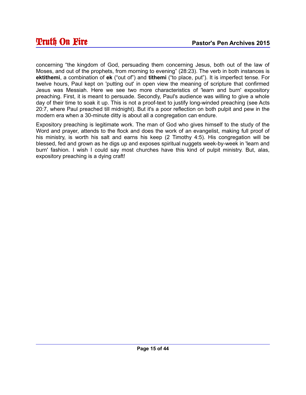concerning "the kingdom of God, persuading them concerning Jesus, both out of the law of Moses, and out of the prophets, from morning to evening" (28:23). The verb in both instances is **ektithemi**, a combination of **ek** ("out of") and **tithemi** ("to place, put"). It is imperfect tense. For twelve hours, Paul kept on 'putting out' in open view the meaning of scripture that confirmed Jesus was Messiah. Here we see two more characteristics of 'learn and burn' expository preaching. First, it is meant to persuade. Secondly, Paul's audience was willing to give a whole day of their time to soak it up. This is not a proof-text to justify long-winded preaching (see Acts 20:7, where Paul preached till midnight). But it's a poor reflection on both pulpit and pew in the modern era when a 30-minute ditty is about all a congregation can endure.

Expository preaching is legitimate work. The man of God who gives himself to the study of the Word and prayer, attends to the flock and does the work of an evangelist, making full proof of his ministry, is worth his salt and earns his keep (2 Timothy 4:5). His congregation will be blessed, fed and grown as he digs up and exposes spiritual nuggets week-by-week in 'learn and burn' fashion. I wish I could say most churches have this kind of pulpit ministry. But, alas, expository preaching is a dying craft!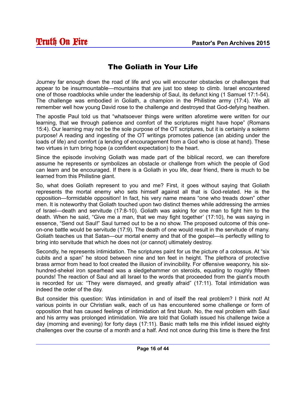# The Goliath in Your Life

Journey far enough down the road of life and you will encounter obstacles or challenges that appear to be insurmountable—mountains that are just too steep to climb. Israel encountered one of those roadblocks while under the leadership of Saul, its defunct king (1 Samuel 17:1-54). The challenge was embodied in Goliath, a champion in the Philistine army (17:4). We all remember well how young David rose to the challenge and destroyed that God-defying heathen.

The apostle Paul told us that "whatsoever things were written aforetime were written for our learning, that we through patience and comfort of the scriptures might have hope" (Romans 15:4). Our learning may not be the sole purpose of the OT scriptures, but it is certainly a solemn purpose! A reading and ingesting of the OT writings promotes patience (an abiding under the loads of life) and comfort (a lending of encouragement from a God who is close at hand). These two virtues in turn bring hope (a confident expectation) to the heart.

Since the episode involving Goliath was made part of the biblical record, we can therefore assume he represents or symbolizes an obstacle or challenge from which the people of God can learn and be encouraged. If there is a Goliath in you life, dear friend, there is much to be learned from this Philistine giant.

So, what does Goliath represent to you and me? First, it goes without saying that Goliath represents the mortal enemy who sets himself against all that is God-related. He is the opposition—formidable opposition! In fact, his very name means "one who treads down" other men. It is noteworthy that Goliath touched upon two distinct themes while addressing the armies of Israel—death and servitude (17:8-10). Goliath was asking for one man to fight him to the death. When he said, "Give me a man, that we may fight together' (17:10), he was saying in essence, "Send out Saul!" Saul turned out to be a no show. The proposed outcome of this oneon-one battle would be servitude (17:9). The death of one would result in the servitude of many. Goliath teaches us that Satan—our mortal enemy and that of the gospel—is perfectly willing to bring into servitude that which he does not (or cannot) ultimately destroy.

Secondly, he represents intimidation. The scriptures paint for us the picture of a colossus. At "six cubits and a span" he stood between nine and ten feet in height. The plethora of protective brass armor from head to foot created the illusion of invincibility. For offensive weaponry, his sixhundred-shekel iron spearhead was a sledgehammer on steroids, equating to roughly fifteen pounds! The reaction of Saul and all Israel to the words that proceeded from the giant's mouth is recorded for us: "They were dismayed, and greatly afraid" (17:11). Total intimidation was indeed the order of the day.

But consider this question: Was intimidation in and of itself the real problem? I think not! At various points in our Christian walk, each of us has encountered some challenge or form of opposition that has caused feelings of intimidation at first blush. No, the real problem with Saul and his army was prolonged intimidation. We are told that Goliath issued his challenge twice a day (morning and evening) for forty days (17:11). Basic math tells me this infidel issued eighty challenges over the course of a month and a half. And not once during this time is there the first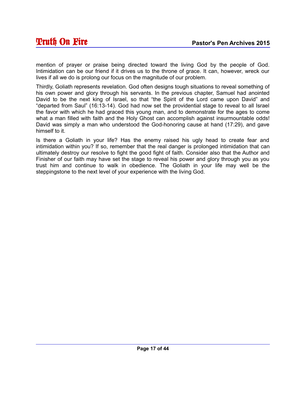mention of prayer or praise being directed toward the living God by the people of God. Intimidation can be our friend if it drives us to the throne of grace. It can, however, wreck our lives if all we do is prolong our focus on the magnitude of our problem.

Thirdly, Goliath represents revelation. God often designs tough situations to reveal something of his own power and glory through his servants. In the previous chapter, Samuel had anointed David to be the next king of Israel, so that "the Spirit of the Lord came upon David" and "departed from Saul" (16:13-14). God had now set the providential stage to reveal to all Israel the favor with which he had graced this young man, and to demonstrate for the ages to come what a man filled with faith and the Holy Ghost can accomplish against insurmountable odds! David was simply a man who understood the God-honoring cause at hand (17:29), and gave himself to it.

Is there a Goliath in your life? Has the enemy raised his ugly head to create fear and intimidation within you? If so, remember that the real danger is prolonged intimidation that can ultimately destroy our resolve to fight the good fight of faith. Consider also that the Author and Finisher of our faith may have set the stage to reveal his power and glory through you as you trust him and continue to walk in obedience. The Goliath in your life may well be the steppingstone to the next level of your experience with the living God.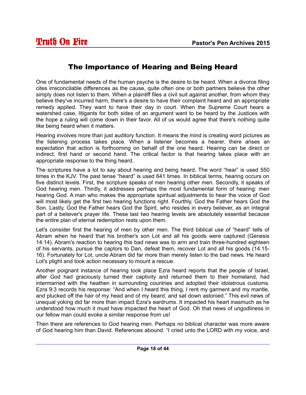#### The Importance of Hearing and Being Heard

One of fundamental needs of the human psyche is the desire to be heard. When a divorce filing cites irreconcilable differences as the cause, quite often one or both partners believe the other simply does not listen to them. When a plaintiff files a civil suit against another, from whom they believe they've incurred harm, there's a desire to have their complaint heard and an appropriate remedy applied. They want to have their day in court. When the Supreme Court hears a watershed case, litigants for both sides of an argument want to be heard by the Justices with the hope a ruling will come down in their favor. All of us would agree that there's nothing quite like being heard when it matters.

Hearing involves more than just auditory function. It means the mind is creating word pictures as the listening process takes place. When a listener becomes a hearer, there arises an expectation that action is forthcoming on behalf of the one heard. Hearing can be direct or indirect, first hand or second hand. The critical factor is that hearing takes place with an appropriate response to the thing heard.

The scriptures have a lot to say about hearing and being heard. The word "hear" is used 550 times in the KJV. The past tense "heard" is used 641 times. In biblical terms, hearing occurs on five distinct levels. First, the scripture speaks of men hearing other men. Secondly, it speaks of God hearing men. Thirdly, it addresses perhaps the most fundamental form of hearing: men hearing God. A man who makes the appropriate spiritual adjustments to hear the voice of God will most likely get the first two hearing functions right. Fourthly, God the Father hears God the Son. Lastly, God the Father hears God the Spirit, who resides in every believer, as an integral part of a believer's prayer life. These last two hearing levels are absolutely essential because the entire plan of eternal redemption rests upon them.

Let's consider first the hearing of men by other men. The third biblical use of "heard" tells of Abram when he heard that his brother's son Lot and all his goods were captured (Genesis 14:14). Abram's reaction to hearing this bad news was to arm and train three-hundred eighteen of his servants, pursue the captors to Dan, defeat them, recover Lot and all his goods (14:15- 16). Fortunately for Lot, uncle Abram did far more than merely listen to the bad news. He heard Lot's plight and took action necessary to mount a rescue.

Another poignant instance of hearing took place Ezra heard reports that the people of Israel, after God had graciously turned their captivity and returned them to their homeland, had intermarried with the heathen in surrounding countries and adopted their idolatrous customs. Ezra 9:3 records his response: "And when I heard this thing, I rent my garment and my mantle, and plucked off the hair of my head and of my beard, and sat down astonied." This evil news of unequal yoking did far more than impact Ezra's eardrums. It impacted his heart inasmuch as he understood how much it must have impacted the heart of God. Oh that news of ungodliness in our fellow man could evoke a similar response from us!

Then there are references to God hearing men. Perhaps no biblical character was more aware of God hearing him than David. References abound. "I cried unto the LORD with my voice, and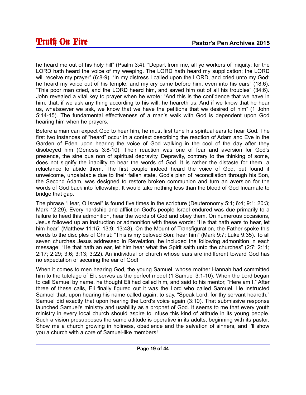he heard me out of his holy hill" (Psalm 3:4). "Depart from me, all ye workers of iniquity; for the LORD hath heard the voice of my weeping. The LORD hath heard my supplication; the LORD will receive my prayer" (6:8-9). "In my distress I called upon the LORD, and cried unto my God: he heard my voice out of his temple, and my cry came before him, even into his ears" (18:6). "This poor man cried, and the LORD heard him, and saved him out of all his troubles" (34:6). John revealed a vital key to prayer when he wrote: "And this is the confidence that we have in him, that, if we ask any thing according to his will, he heareth us: And if we know that he hear us, whatsoever we ask, we know that we have the petitions that we desired of him" (1 John 5:14-15). The fundamental effectiveness of a man's walk with God is dependent upon God hearing him when he prayers.

Before a man can expect God to hear him, he must first tune his spiritual ears to hear God. The first two instances of "heard" occur in a context describing the reaction of Adam and Eve in the Garden of Eden upon hearing the voice of God walking in the cool of the day after they disobeyed him (Genesis 3:8-10). Their reaction was one of fear and aversion for God's presence, the sine qua non of spiritual depravity. Depravity, contrary to the thinking of some, does not signify the inability to hear the words of God. It is rather the distaste for them, a reluctance to abide them. The first couple indeed heard the voice of God, but found it unwelcome, unpalatable due to their fallen state. God's plan of reconciliation through his Son, the Second Adam, was designed to restore broken communion and turn an aversion for the words of God back into fellowship. It would take nothing less than the blood of God Incarnate to bridge that gap.

The phrase "Hear, O Israel" is found five times in the scripture (Deuteronomy 5:1; 6:4; 9:1; 20:3; Mark 12:29). Every hardship and affliction God's people Israel endured was due primarily to a failure to heed this admonition, hear the words of God and obey them. On numerous occasions, Jesus followed up an instruction or admonition with these words: "He that hath ears to hear, let him hear" (Matthew 11:15; 13:9; 13:43). On the Mount of Transfiguration, the Father spoke this words to the disciples of Christ: "This is my beloved Son: hear him" (Mark 9:7; Luke 9:35). To all seven churches Jesus addressed in Revelation, he included the following admonition in each message: "He that hath an ear, let him hear what the Spirit saith unto the churches" (2:7; 2:11; 2:17; 2:29; 3:6; 3:13; 3:22). An individual or church whose ears are indifferent toward God has no expectation of securing the ear of God!

When it comes to men hearing God, the young Samuel, whose mother Hannah had committed him to the tutelage of Eli, serves as the perfect model (1 Samuel 3:1-10). When the Lord began to call Samuel by name, he thought Eli had called him, and said to his mentor, "Here am I." After three of these calls, Eli finally figured out it was the Lord who called Samuel. He instructed Samuel that, upon hearing his name called again, to say, "Speak Lord, for thy servant heareth." Samuel did exactly that upon hearing the Lord's voice again (3:10). That submissive response launched Samuel's ministry and usability as a prophet of God. It seems to me that every youth ministry in every local church should aspire to infuse this kind of attitude in its young people. Such a vision presupposes the same attitude is operative in its adults, beginning with its pastor. Show me a church growing in holiness, obedience and the salvation of sinners, and I'll show you a church with a core of Samuel-like members!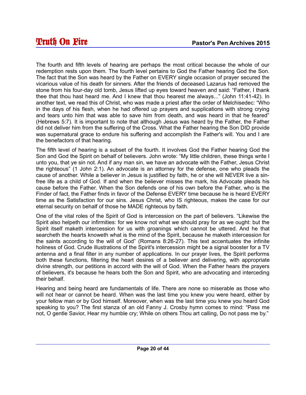The fourth and fifth levels of hearing are perhaps the most critical because the whole of our redemption rests upon them. The fourth level pertains to God the Father hearing God the Son. The fact that the Son was heard by the Father on EVERY single occasion of prayer secured the vicarious value of his death for sinners. After the friends of deceased Lazarus had removed the stone from his four-day old tomb, Jesus lifted up eyes toward heaven and said: "Father, I thank thee that thou hast heard me. And I knew that thou hearest me always..." (John 11:41-42). In another text, we read this of Christ, who was made a priest after the order of Melchisedec: "Who in the days of his flesh, when he had offered up prayers and supplications with strong crying and tears unto him that was able to save him from death, and was heard in that he feared" (Hebrews 5:7). It is important to note that although Jesus was heard by the Father, the Father did not deliver him from the suffering of the Cross. What the Father hearing the Son DID provide was supernatural grace to endure his suffering and accomplish the Father's will. You and I are the benefactors of that hearing.

The fifth level of hearing is a subset of the fourth. It involves God the Father hearing God the Son and God the Spirit on behalf of believers. John wrote: "My little children, these things write I unto you, that ye sin not. And if any man sin, we have an advocate with the Father, Jesus Christ the righteous" (1 John 2:1). An advocate is an attorney for the defense, one who pleads the cause of another. While a believer in Jesus is justified by faith, he or she will NEVER live a sinfree life as a child of God. If and when the believer misses the mark, his Advocate pleads his cause before the Father. When the Son defends one of his own before the Father, who is the Finder of fact, the Father finds in favor of the Defense EVERY time because he is heard EVERY time as the Satisfaction for our sins. Jesus Christ, who IS righteous, makes the case for our eternal security on behalf of those he MADE righteous by faith.

One of the vital roles of the Spirit of God is intercession on the part of believers. "Likewise the Spirit also helpeth our infirmities: for we know not what we should pray for as we ought: but the Spirit itself maketh intercession for us with groanings which cannot be uttered. And he that searcheth the hearts knoweth what is the mind of the Spirit, because he maketh intercession for the saints according to the will of God" (Romans 8:26-27). This text accentuates the infinite holiness of God. Crude illustrations of the Spirit's intercession might be a signal booster for a TV antenna and a final filter in any number of applications. In our prayer lives, the Spirit performs both these functions, filtering the heart desires of a believer and delivering, with appropriate divine strength, our petitions in accord with the will of God. When the Father hears the prayers of believers, it's because he hears both the Son and Spirit, who are advocating and interceding their behalf.

Hearing and being heard are fundamentals of life. There are none so miserable as those who will not hear or cannot be heard. When was the last time you knew you were heard, either by your fellow man or by God himself. Moreover, when was the last time you knew you heard God speaking to you? The first stanza of an old Fanny J. Crosby hymn comes to mind: "Pass me not, O gentle Savior, Hear my humble cry; While on others Thou art calling, Do not pass me by."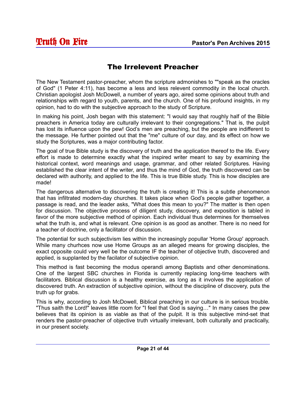# The Irrelevent Preacher

The New Testament pastor-preacher, whom the scripture admonishes to ""speak as the oracles of God" (1 Peter 4:11), has become a less and less relevent commodity in the local church. Christian apologist Josh McDowell, a number of years ago, aired some opinions about truth and relationships with regard to youth, parents, and the church. One of his profound insights, in my opinion, had to do with the subjective approach to the study of Scripture.

In making his point, Josh began with this statement: "I would say that roughly half of the Bible preachers in America today are culturally irrelevant to their congregations." That is, the pulpit has lost its influence upon the pew! God's men are preaching, but the people are indifferent to the message. He further pointed out that the "me" culture of our day, and its effect on how we study the Scriptures, was a major contributing factor.

The goal of true Bible study is the discovery of truth and the application thereof to the life. Every effort is made to determine exactly what the inspired writer meant to say by examining the historical context, word meanings and usage, grammar, and other related Scriptures. Having established the clear intent of the writer, and thus the mind of God, the truth discovered can be declared with authority, and applied to the life. This is true Bible study. This is how disciples are made!

The dangerous alternative to discovering the truth is creating it! This is a subtle phenomenon that has infiltrated modern-day churches. It takes place when God's people gather together, a passage is read, and the leader asks, "What does this mean to you?" The matter is then open for discussion. The objective process of diligent study, discovery, and exposition is tabled in favor of the more subjective method of opinion. Each individual thus determines for themselves what the truth is, and what is relevant. One opinion is as good as another. There is no need for a teacher of doctrine, only a facilitator of discussion.

The potential for such subjectivism lies within the increasingly popullar 'Home Group' approach. While many churhces now use Home Groups as an alleged means for growing disciples, the exact opposite could very well be the outcome IF the teacher of objective truth, discovered and applied, is supplanted by the facilator of subjective opinion.

This method is fast becoming the modus operandi among Baptists and other denominations. One of the largest SBC churches in Florida is currently replacing long-time teachers with facilitators. Biblical discussion is a healthy exercise, as long as it involves the application of discovered truth. An extraction of subjective opinion, without the discipline of discovery, puts the truth up for grabs.

This is why, according to Josh McDowell, Biblical preaching in our culture is in serious trouble. "Thus saith the Lord!" leaves little room for "I feel that God is saying…" In many cases the pew believes that its opinion is as viable as that of the pulpit. It is this subjective mind-set that renders the pastor-preacher of objective truth virtually irrelevant, both culturally and practically, in our present society.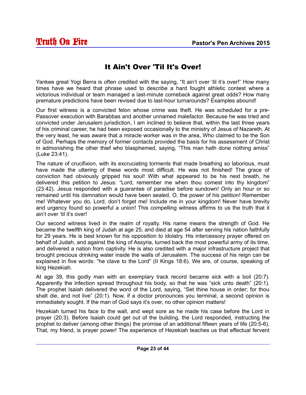## It Ain't Over 'Til It's Over!

Yankee great Yogi Berra is often credited with the saying, "It ain't over 'til it's over!" How many times have we heard that phrase used to describe a hard fought athletic contest where a victorious individual or team managed a last-minute comeback against great odds? How many premature predictions have been revised due to last-hour turnarounds? Examples abound!

Our first witness is a convicted felon whose crime was theft. He was scheduled for a pre-Passover execution with Barabbas and another unnamed malefactor. Because he was tried and convicted under Jerusalem jurisdiction, I am inclined to believe that, within the last three years of his criminal career, he had been exposed occasionally to the ministry of Jesus of Nazareth. At the very least, he was aware that a miracle worker was in the area, Who claimed to be the Son of God. Perhaps the memory of former contacts provided the basis for his assessment of Christ in admonishing the other thief who blasphemed, saying, "This man hath done nothing amiss" (Luke 23:41).

The nature of crucifixion, with its excruciating torments that made breathing so laborious, must have made the uttering of these words most difficult. He was not finished! The grace of conviction had obviously gripped his soul! With what appeared to be his next breath, he delivered this petition to Jesus: "Lord, remember me when thou comest into thy kingdom" (23:42). Jesus responded with a guarantee of paradise before sundown! Only an hour or so remained until his damnation would have been sealed. O, the power of his petition! Remember me! Whatever you do, Lord, don't forget me! Include me in your kingdom! Never have brevity and urgency found so powerful a union! This compelling witness affirms to us the truth that it ain't over 'til it's over!

Our second witness lived in the realm of royalty. His name means the strength of God. He became the twelfth king of Judah at age 25, and died at age 54 after serving his nation faithfully for 29 years. He is best known for his opposition to idolatry. His intercessory prayer offered on behalf of Judah, and against the king of Assyria, turned back the most powerful army of its time, and delivered a nation from captivity. He is also credited with a major infrastructure project that brought precious drinking water inside the walls of Jerusalem. The success of his reign can be explained in five words: "he clave to the Lord" (II Kings 18:6). We are, of course, speaking of king Hezekiah.

At age 39, this godly man with an exemplary track record became sick with a boil (20:7). Apparently the infection spread throughout his body, so that he was "sick unto death" (20:1). The prophet Isaiah delivered the word of the Lord, saying, "Set thine house in order; for thou shalt die, and not live" (20:1). Now, if a doctor pronounces you terminal, a second opinion is immediately sought. If the man of God says it's over, no other opinion matters!

Hezekiah turned his face to the wall, and wept sore as he made his case before the Lord in prayer (20:3). Before Isaiah could get out of the building, the Lord responded, instructing the prophet to deliver (among other things) the promise of an additional fifteen years of life (20:5-6). That, my friend, is prayer power! The experience of Hezekiah teaches us that effectual fervent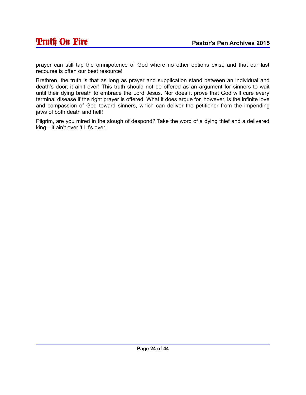prayer can still tap the omnipotence of God where no other options exist, and that our last recourse is often our best resource!

Brethren, the truth is that as long as prayer and supplication stand between an individual and death's door, it ain't over! This truth should not be offered as an argument for sinners to wait until their dying breath to embrace the Lord Jesus. Nor does it prove that God will cure every terminal disease if the right prayer is offered. What it does argue for, however, is the infinite love and compassion of God toward sinners, which can deliver the petitioner from the impending jaws of both death and hell!

Pilgrim, are you mired in the slough of despond? Take the word of a dying thief and a delivered king—it ain't over 'til it's over!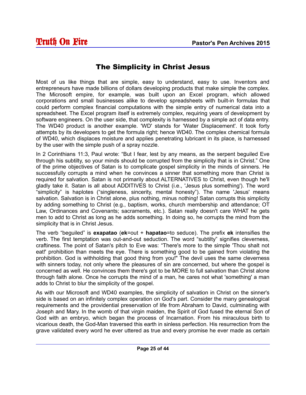# The Simplicity in Christ Jesus

Most of us like things that are simple, easy to understand, easy to use. Inventors and entrepreneurs have made billions of dollars developing products that make simple the complex. The Microsoft empire, for example, was built upon an Excel program, which allowed corporations and small businesses alike to develop spreadsheets with built-in formulas that could perform complex financial computations with the simple entry of numerical data into a spreadsheet. The Excel program itself is extremely complex, requiring years of development by software engineers. On the user side, that complexity is harnessed by a simple act of data entry. The WD40 product is another example. 'WD' stands for 'Water Displacement'. It took forty attempts by its developers to get the formula right; hence WD40. The complex chemical formula of WD40, which displaces moisture and applies penetrating lubricant in its place, is harnessed by the user with the simple push of a spray nozzle.

In 2 Corinthians 11:3, Paul wrote: "But I fear, lest by any means, as the serpent beguiled Eve through his subtilty, so your minds should be corrupted from the simplicity that is in Christ." One of the prime objectives of Satan is to complicate gospel simplicity in the minds of sinners. He successfully corrupts a mind when he convinces a sinner that something more than Christ is required for salvation. Satan is not primarily about ALTERNATIVES to Christ, even though he'll gladly take it. Satan is all about ADDITIVES to Christ (i.e., 'Jesus plus something'). The word "simplicity" is haplotes ("singleness, sincerity, mental honesty"). The name 'Jesus' means salvation. Salvation is in Christ alone, plus nothing, minus nothing! Satan corrupts this simplicity by adding something to Christ (e.g., baptism, works, church membership and attendance; OT Law, Ordinances and Covenants; sacraments, etc.). Satan really doesn't care WHAT he gets men to add to Christ as long as he adds something. In doing so, he corrupts the mind from the simplicity that is in Christ Jesus.

The verb "beguiled" is **exapatao** (**ek**=out + **hapatao**=to seduce). The prefix **ek** intensifies the verb. The first temptation was out-and-out seduction. The word "subtilty" signifies cleverness, craftiness. The point of Satan's pitch to Eve was: "There's more to the simple 'Thou shalt not eat!' prohibition than meets the eye. There is something good to be gained from violating the prohibition. God is withholding that good thing from you!" The devil uses the same cleverness with sinners today, not only where the pleasures of sin are concerned, but where the gospel is concerned as well. He convinces them there's got to be MORE to full salvation than Christ alone through faith alone. Once he corrupts the mind of a man, he cares not what 'something' a man adds to Christ to blur the simplicity of the gospel.

As with our Microsoft and WD40 examples, the simplicity of salvation in Christ on the sinner's side is based on an infinitely complex operation on God's part. Consider the many genealogical requirements and the providential preservation of life from Abraham to David, culminating with Joseph and Mary. In the womb of that virgin maiden, the Spirit of God fused the eternal Son of God with an embryo, which began the process of Incarnation. From his miraculous birth to vicarious death, the God-Man traversed this earth in sinless perfection. His resurrection from the grave validated every word he ever uttered as true and every promise he ever made as certain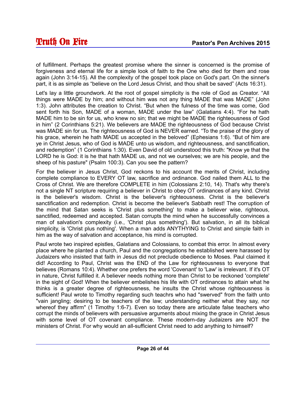of fulfillment. Perhaps the greatest promise where the sinner is concerned is the promise of forgiveness and eternal life for a simple look of faith to the One who died for them and rose again (John 3:14-15). All the complexity of the gospel took place on God's part. On the sinner's part, it is as simple as "believe on the Lord Jesus Christ, and thou shalt be saved" (Acts 16:31).

Let's lay a little groundwork. At the root of gospel simplicity is the role of God as Creator. "All things were MADE by him; and without him was not any thing MADE that was MADE" (John 1:3). John attributes the creation to Christ. "But when the fulness of the time was come, God sent forth his Son, MADE of a woman, MADE under the law" (Galatians 4:4). "For he hath MADE him to be sin for us, who knew no sin; that we might be MADE the righteousness of God in him" (2 Corinthians 5:21). We believers are MADE the righteousness of God because Christ was MADE sin for us. The righteousness of God is NEVER earned. "To the praise of the glory of his grace, wherein he hath MADE us accepted in the beloved" (Ephesians 1:6). "But of him are ye in Christ Jesus, who of God is MADE unto us wisdom, and righteousness, and sanctification, and redemption" (1 Corinthians 1:30). Even David of old understood this truth: "Know ye that the LORD he is God: it is he that hath MADE us, and not we ourselves; we are his people, and the sheep of his pasture" (Psalm 100:3). Can you see the pattern?

For the believer in Jesus Christ, God reckons to his account the merits of Christ, including complete compliance to EVERY OT law, sacrifice and ordinance. God nailed them ALL to the Cross of Christ. We are therefore COMPLETE in him (Colossians 2:10, 14). That's why there's not a single NT scripture requiring a believer in Christ to obey OT ordinances of any kind. Christ is the believer's wisdom. Christ is the believer's righteousness. Christ is the believer's sanctification and redemption. Christ is become the believer's Sabbath rest! The corruption of the mind that Satan seeks is 'Christ plus something' to make a believer wise, righteous, sanctified, redeemed and accepted. Satan corrupts the mind when he successfully convinces a man of salvation's complexity (i.e., 'Christ plus something'). But salvation, in all its biblical simplicity, is 'Christ plus nothing'. When a man adds ANYTHYING to Christ and simple faith in him as the way of salvation and acceptance, his mind is corrupted.

Paul wrote two inspired epistles, Galatians and Colossians, to combat this error. In almost every place where he planted a church, Paul and the congregations he established were harassed by Judaizers who insisted that faith in Jesus did not preclude obedience to Moses. Paul claimed it did! According to Paul, Christ was the END of the Law for righteousness to everyone that believes (Romans 10:4). Whether one prefers the word 'Covenant' to 'Law' is irrelevant. If it's OT in nature, Christ fulfilled it. A believer needs nothing more than Christ to be reckoned 'complete' in the sight of God! When the believer embelishes his life with OT ordinances to attain what he thinks is a greater degree of righteousness, he insults the Christ whose righteousness is sufficient! Paul wrote to Timothy regarding such teachrs who had "swerved" from the faith unto "vain jangling; desiring to be teachers of the law; understanding neither what they say, nor whereof they affirm" (1 Timothy 1:6-7). Even so today there are articulate false teachers who corrupt the minds of believers with persuasive arguments about mixing the grace in Christ Jesus with some level of OT covenant compliance. These modern-day Judaizers are NOT the ministers of Christ. For why would an all-sufficient Christ need to add anything to himself?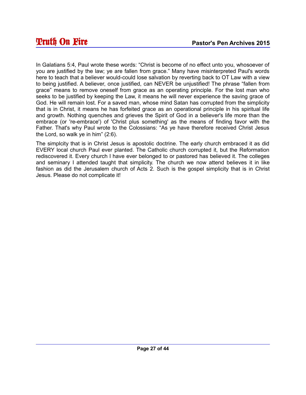In Galatians 5:4, Paul wrote these words: "Christ is become of no effect unto you, whosoever of you are justified by the law; ye are fallen from grace." Many have misinterpreted Paul's words here to teach that a believer would-could lose salvation by reverting back to OT Law with a view to being justified. A believer, once justified, can NEVER be unjustified! The phrase "fallen from grace" means to remove oneself from grace as an operating principle. For the lost man who seeks to be justified by keeping the Law, it means he will never experience the saving grace of God. He will remain lost. For a saved man, whose mind Satan has corrupted from the simplicity that is in Christ, it means he has forfeited grace as an operational principle in his spiritual life and growth. Nothing quenches and grieves the Spirit of God in a believer's life more than the embrace (or 're-embrace') of 'Christ plus something' as the means of finding favor with the Father. That's why Paul wrote to the Colossians: "As ye have therefore received Christ Jesus the Lord, so walk ye in him" (2:6).

The simplcity that is in Christ Jesus is apostolic doctrine. The early church embraced it as did EVERY local church Paul ever planted. The Catholic church corrupted it, but the Reformation rediscovered it. Every church I have ever belonged to or pastored has believed it. The colleges and seminary I attended taught that simplicity. The church we now attend believes it in like fashion as did the Jerusalem church of Acts 2. Such is the gospel simplicity that is in Christ Jesus. Please do not complicate it!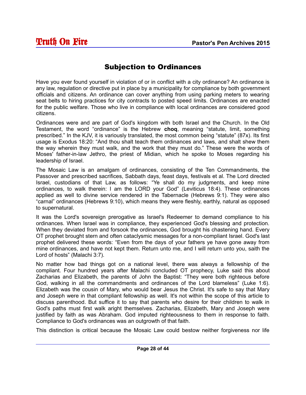# Subjection to Ordinances

Have you ever found yourself in violation of or in conflict with a city ordinance? An ordinance is any law, regulation or directive put in place by a municipality for compliance by both government officials and citizens. An ordinance can cover anything from using parking meters to wearing seat belts to hiring practices for city contracts to posted speed limits. Ordinances are enacted for the public welfare. Those who live in compliance with local ordinances are considered good citizens.

Ordinances were and are part of God's kingdom with both Israel and the Church. In the Old Testament, the word "ordinance" is the Hebrew **choq**, meaning "statute, limit, something prescribed." In the KJV, it is variously translated, the most common being "statute" (87x). Its first usage is Exodus 18:20: "And thou shalt teach them ordinances and laws, and shalt shew them the way wherein they must walk, and the work that they must do." These were the words of Moses' father-in-law Jethro, the priest of Midian, which he spoke to Moses regarding his leadership of Israel.

The Mosaic Law is an amalgam of ordinances, consisting of the Ten Commandments, the Passover and prescribed sacrifices, Sabbath days, feast days, festivals et al. The Lord directed Israel, custodians of that Law, as follows: "Ye shall do my judgments, and keep mine ordinances, to walk therein: I am the LORD your God" (Leviticus 18:4). These ordinances applied as well to divine service rendered in the Tabernacle (Hebrews 9:1). They were also "carnal" ordinances (Hebrews 9:10), which means they were fleshly, earthly, natural as opposed to supernatural.

It was the Lord's sovereign prerogative as Israel's Redeemer to demand compliance to his ordinances. When Israel was in compliance, they experienced God's blessing and protection. When they deviated from and forsook the ordinances, God brought his chastening hand. Every OT prophet brought stern and often cataclysmic messages for a non-compliant Israel. God's last prophet delivered these words: "Even from the days of your fathers ye have gone away from mine ordinances, and have not kept them. Return unto me, and I will return unto you, saith the Lord of hosts" (Malachi 3:7).

No matter how bad things got on a national level, there was always a fellowship of the compliant. Four hundred years after Malachi concluded OT prophecy, Luke said this about Zacharias and Elizabeth, the parents of John the Baptist: "They were both righteous before God, walking in all the commandments and ordinances of the Lord blameless" (Luke 1:6). Elizabeth was the cousin of Mary, who would bear Jesus the Christ. It's safe to say that Mary and Joseph were in that compliant fellowship as well. It's not within the scope of this article to discuss parenthood. But suffice it to say that parents who desire for their children to walk in God's paths must first walk aright themselves. Zacharias, Elizabeth, Mary and Joseph were justified by faith as was Abraham. God imputed righteousness to them in response to faith. Compliance to God's ordinances was an outgrowth of that faith.

This distinction is critical because the Mosaic Law could bestow neither forgiveness nor life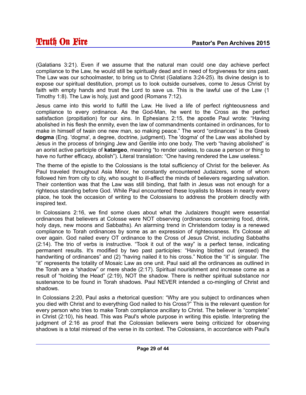(Galatians 3:21). Even if we assume that the natural man could one day achieve perfect compliance to the Law, he would still be spiritually dead and in need of forgiveness for sins past. The Law was our schoolmaster, to bring us to Christ (Galatians 3:24-25). Its divine design is to expose our spiritual destitution, prompt us to look outside ourselves, come to Jesus Christ by faith with empty hands and trust the Lord to save us. This is the lawful use of the Law (1 Timothy 1:8). The Law is holy, just and good (Romans 7:12).

Jesus came into this world to fulfill the Law. He lived a life of perfect righteousness and compliance to every ordinance. As the God-Man, he went to the Cross as the perfect satisfaction (propitiation) for our sins. In Ephesians 2:15, the apostle Paul wrote: "Having abolished in his flesh the enmity, even the law of commandments contained in ordinances, for to make in himself of twain one new man, so making peace." The word "ordinances" is the Greek **dogma** (Eng. 'dogma', a degree, doctrine, judgment). The 'dogma' of the Law was abolished by Jesus in the process of bringing Jew and Gentile into one body. The verb "having abolished" is an aorist active participle of **katargeo**, meaning "to render useless, to cause a person or thing to have no further efficacy, abolish"). Literal translation: "One having rendered the Law useless."

The theme of the epistle to the Colossians is the total sufficiency of Christ for the believer. As Paul traveled throughout Asia Minor, he constantly encountered Judaizers, some of whom followed him from city to city, who sought to ill-affect the minds of believers regarding salvation. Their contention was that the Law was still binding, that faith in Jesus was not enough for a righteous standing before God. While Paul encountered these loyalists to Moses in nearly every place, he took the occasion of writing to the Colossians to address the problem directly with inspired text.

In Colossians 2:16, we find some clues about what the Judaizers thought were essential ordinances that believers at Colosse were NOT observing (ordinances concerning food, drink, holy days, new moons and Sabbaths). An alarming trend in Christendom today is a renewed compliance to Torah ordinances by some as an expression of righteousness. It's Colosse all over again. God nailed every OT ordinance to the Cross of Jesus Christ, including Sabbaths (2:14). The trio of verbs is instructive. "Took it out of the way" is a perfect tense, indicating permanent results. It's modified by two past participles: "Having blotted out (erased) the handwriting of ordinances" and (2) "having nailed it to his cross." Notice the "it" is singular. The "it" represents the totality of Mosaic Law as one unit. Paul said all the ordinances as outlined in the Torah are a "shadow" or mere shade (2:17). Spiritual nourishment and increase come as a result of "holding the Head" (2:19), NOT the shadow. There is neither spiritual substance nor sustenance to be found in Torah shadows. Paul NEVER intended a co-mingling of Christ and shadows.

In Colossians 2:20, Paul asks a rhetorical question: "Why are you subject to ordinances when you died with Christ and to everything God nailed to his Cross?" This is the relevant question for every person who tries to make Torah compliance ancillary to Christ. The believer is "complete" in Christ (2:10), his head. This was Paul's whole purpose in writing this epistle. Interpreting the judgment of 2:16 as proof that the Colossian believers were being criticized for observing shadows is a total misread of the verse in its context. The Colossians, in accordance with Paul's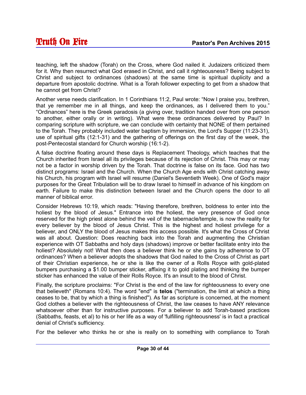teaching, left the shadow (Torah) on the Cross, where God nailed it. Judaizers criticized them for it. Why then resurrect what God erased in Christ, and call it righteousness? Being subject to Christ and subject to ordinances (shadows) at the same time is spiritual duplicity and a departure from apostolic doctrine. What is a Torah follower expecting to get from a shadow that he cannot get from Christ?

Another verse needs clarification. In 1 Corinthians 11:2, Paul wrote: "Now I praise you, brethren, that ye remember me in all things, and keep the ordinances, as I delivered them to you." "Ordinances" here is the Greek paradosis (a giving over, tradition handed over from one person to another, either orally or in writing). What were these ordinances delivered by Paul? In comparing scripture with scripture, we can conclude with certainty that NONE of them pertained to the Torah. They probably included water baptism by immersion, the Lord's Supper (11:23-31), use of spiritual gifts (12:1-31) and the gathering of offerings on the first day of the week, the post-Pentecostal standard for Church worship (16:1-2).

A false doctrine floating around these days is Replacement Theology, which teaches that the Church inherited from Israel all its privileges because of its rejection of Christ. This may or may not be a factor in worship driven by the Torah. That doctrine is false on its face. God has two distinct programs: Israel and the Church. When the Church Age ends with Christ catching away his Church, his program with Israel will resume (Daniel's Seventieth Week). One of God's major purposes for the Great Tribulation will be to draw Israel to himself in advance of his kingdom on earth. Failure to make this distinction between Israel and the Church opens the door to all manner of biblical error.

Consider Hebrews 10:19, which reads: "Having therefore, brethren, boldness to enter into the holiest by the blood of Jesus." Entrance into the holiest, the very presence of God once reserved for the high priest alone behind the veil of the tabernacle/temple, is now the reality for every believer by the blood of Jesus Christ. This is the highest and holiest privilege for a believer, and ONLY the blood of Jesus makes this access possible. It's what the Cross of Christ was all about. Question: Does reaching back into the Torah and augmenting the Christian experience with OT Sabbaths and holy days (shadows) improve or better facilitate entry into the holiest? Absolutely not! What then does a believer think he or she gains by adherence to OT ordinances? When a believer adopts the shadows that God nailed to the Cross of Christ as part of their Christian experience, he or she is like the owner of a Rolls Royce with gold-plated bumpers purchasing a \$1.00 bumper sticker, affixing it to gold plating and thinking the bumper sticker has enhanced the value of their Rolls Royce. It's an insult to the blood of Christ.

Finally, the scripture proclaims: "For Christ is the end of the law for righteousness to every one that believeth" (Romans 10:4). The word "end" is **telos** ("termination, the limit at which a thing ceases to be, that by which a thing is finished"). As far as scripture is concerned, at the moment God clothes a believer with the righteousness of Christ, the law ceases to have ANY relevance whatsoever other than for instructive purposes. For a believer to add Torah-based practices (Sabbaths, feasts, et al) to his or her life as a way of 'fulfilling righteousness' is in fact a practical denial of Christ's sufficiency.

For the believer who thinks he or she is really on to something with compliance to Torah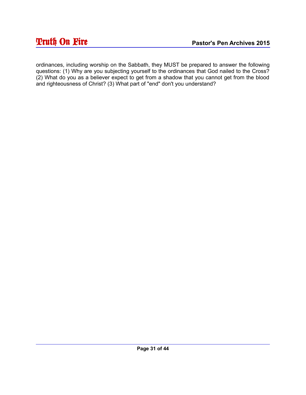ordinances, including worship on the Sabbath, they MUST be prepared to answer the following questions: (1) Why are you subjecting yourself to the ordinances that God nailed to the Cross? (2) What do you as a believer expect to get from a shadow that you cannot get from the blood and righteousness of Christ? (3) What part of "end" don't you understand?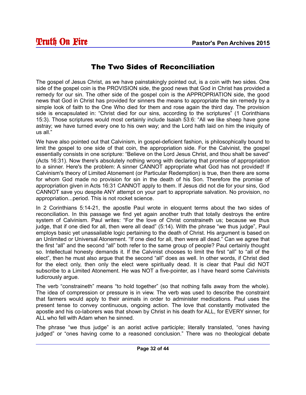#### The Two Sides of Reconciliation

The gospel of Jesus Christ, as we have painstakingly pointed out, is a coin with two sides. One side of the gospel coin is the PROVISION side, the good news that God in Christ has provided a remedy for our sin. The other side of the gospel coin is the APPROPRIATION side, the good news that God in Christ has provided for sinners the means to appropriate the sin remedy by a simple look of faith to the One Who died for them and rose again the third day. The provision side is encapsulated in: "Christ died for our sins, according to the scriptures" (1 Corinthians 15:3). Those scriptures would most certainly include Isaiah 53:6: "All we like sheep have gone astray; we have turned every one to his own way; and the Lord hath laid on him the iniquity of us all."

We have also pointed out that Calvinism, in gospel-deficient fashion, is philosophically bound to limit the gospel to one side of that coin, the appropriation side. For the Calvinist, the gospel essentially consists in one scripture: "Believe on the Lord Jesus Christ, and thou shalt be saved" (Acts 16:31). Now there's absolutely nothing wrong with declaring that promise of appropriation to a sinner. Here's the problem: A sinner CANNOT appropriate what God has not provided! If Calvinism's theory of Limited Atonement (or Particular Redemption) is true, then there are some for whom God made no provision for sin in the death of his Son. Therefore the promise of appropriation given in Acts 16:31 CANNOT apply to them. If Jesus did not die for your sins, God CANNOT save you despite ANY attempt on your part to appropriate salvation. No provision, no appropriation...period. This is not rocket science.

In 2 Corinthians 5:14-21, the apostle Paul wrote in eloquent terms about the two sides of reconciliation. In this passage we find yet again another truth that totally destroys the entire system of Calvinism. Paul writes: "For the love of Christ constraineth us; because we thus judge, that if one died for all, then were all dead" (5:14). With the phrase "we thus judge", Paul employs basic yet unassailable logic pertaining to the death of Christ. His argument is based on an Unlimited or Universal Atonement. "If one died for all, then were all dead." Can we agree that the first "all" and the second "all" both refer to the same group of people? Paul certainly thought so. Intellectual honesty demands it. If the Calvinist chooses to limit the first "all" to "all of the elect", then he must also argue that the second "all" does as well. In other words, if Christ died for the elect only, then only the elect were spiritually dead. It is clear that Paul did NOT subscribe to a Limited Atonement. He was NOT a five-pointer, as I have heard some Calvinists ludicrously argue.

The verb "constraineth" means "to hold together" (so that nothing falls away from the whole). The idea of compression or pressure is in view. The verb was used to describe the constraint that farmers would apply to their animals in order to administer medications. Paul uses the present tense to convey continuous, ongoing action. The love that constantly motivated the apostle and his co-laborers was that shown by Christ in his death for ALL, for EVERY sinner, for ALL who fell with Adam when he sinned.

The phrase "we thus judge" is an aorist active participle; literally translated, "ones having judged" or "ones having come to a reasoned conclusion." There was no theological debate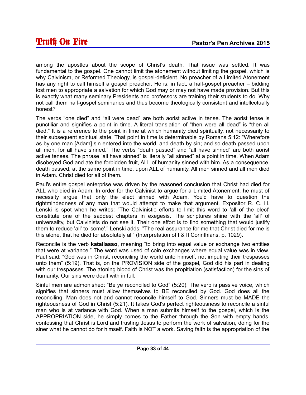among the apostles about the scope of Christ's death. That issue was settled. It was fundamental to the gospel. One cannot limit the atonement without limiting the gospel, which is why Calvinism, or Reformed Theology, is gospel-deficient. No preacher of a Limited Atonement has any right to call himself a gospel preacher. He is, in fact, a half-gospel preacher – bidding lost men to appropriate a salvation for which God may or may not have made provision. But this is exactly what many seminary Presidents and professors are training their students to do. Why not call them half-gospel seminaries and thus become theologically consistent and intellectually honest?

The verbs "one died" and "all were dead" are both aorist active in tense. The aorist tense is punctiliar and signifies a point in time. A literal translation of "then were all dead" is "then all died." It is a reference to the point in time at which humanity died spiritually, not necessarily to their subsequent spiritual state. That point in time is determinable by Romans 5:12: "Wherefore as by one man [Adam] sin entered into the world, and death by sin; and so death passed upon all men, for all have sinned." The verbs "death passed" and "all have sinned" are both aorist active tenses. The phrase "all have sinned" is literally "all sinned" at a point in time. When Adam disobeyed God and ate the forbidden fruit, ALL of humanity sinned with him. As a consequence, death passed, at the same point in time, upon ALL of humanity. All men sinned and all men died in Adam. Christ died for all of them.

Paul's entire gospel enterprise was driven by the reasoned conclusion that Christ had died for ALL who died in Adam. In order for the Calvinist to argue for a Limited Atonement, he must of necessity argue that only the elect sinned with Adam. You'd have to question the rightmindedness of any man that would attempt to make that argument. Expositor R. C. H. Lenski is spot when he writes: "The Calvinistic efforts to limit this word to 'all of the elect' constitute one of the saddest chapters in exegesis. The scriptures shine with the 'all' of universality, but Calvinists do not see it. Their one effort is to find something that would justify them to reduce 'all' to 'some'." Lenski adds: "The real assurance for me that Christ died for me is this alone, that he died for absolutely all" (Interpretation of I & II Corinthians, p. 1029).

Reconcile is the verb **katallasso**, meaning "to bring into equal value or exchange two entities that were at variance." The word was used of coin exchanges where equal value was in view. Paul said: "God was in Christ, reconciling the world unto himself, not imputing their trespasses unto them" (5:19). That is, on the PROVISION side of the gospel, God did his part in dealing with our trespasses. The atoning blood of Christ was the propitiation (satisfaction) for the sins of humanity. Our sins were dealt with in full.

Sinful men are admonished: "Be ye reconciled to God" (5:20). The verb is passive voice, which signifies that sinners must allow themselves to BE reconciled by God. God does all the reconciling. Man does not and cannot reconcile himself to God. Sinners must be MADE the righteousness of God in Christ (5:21). It takes God's perfect righteousness to reconcile a sinful man who is at variance with God. When a man submits himself to the gospel, which is the APPROPRIATION side, he simply comes to the Father through the Son with empty hands, confessing that Christ is Lord and trusting Jesus to perform the work of salvation, doing for the siner what he cannot do for himself. Faith is NOT a work. Saving faith is the appropriation of the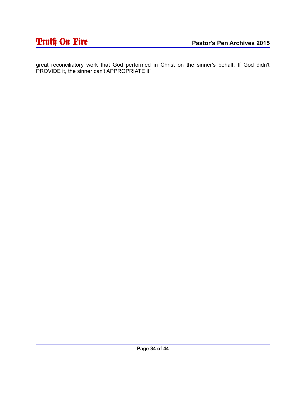# **Truth On Fire** Pastor's Pen Archives 2015

great reconciliatory work that God performed in Christ on the sinner's behalf. If God didn't PROVIDE it, the sinner can't APPROPRIATE it!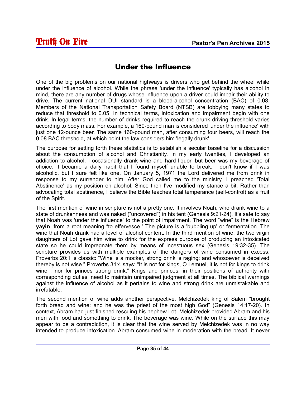## Under the Influence

One of the big problems on our national highways is drivers who get behind the wheel while under the influence of alcohol. While the phrase 'under the influence' typically has alcohol in mind, there are any number of drugs whose influence upon a driver could impair their ability to drive. The current national DUI standard is a blood-alcohol concentration (BAC) of 0.08. Members of the National Transportation Safety Board (NTSB) are lobbying many states to reduce that threshold to 0.05. In technical terms, intoxication and impairment begin with one drink. In legal terms, the number of drinks required to reach the drunk driving threshold varies according to body mass. For example, a 160-pound man is considered 'under the influence' with just one 12-ounce beer. The same 160-pound man, after consuming four beers, will reach the 0.08 BAC threshold, at which point the law considers him 'legally drunk'.

The purpose for setting forth these statistics is to establish a secular baseline for a discussion about the consumption of alcohol and Christianity. In my early twenties, I developed an addiction to alcohol. I occasionally drank wine and hard liquor, but beer was my beverage of choice. It became a daily habit that I found myself unable to break. I don't know if I was alcoholic, but I sure felt like one. On January 5, 1971 the Lord delivered me from drink in response to my surrender to him. After God called me to the ministry, I preached 'Total Abstinence' as my position on alcohol. Since then I've modified my stance a bit. Rather than advocating total abstinence, I believe the Bible teaches total temperance (self-control) as a fruit of the Spirit.

The first mention of wine in scripture is not a pretty one. It involves Noah, who drank wine to a state of drunkenness and was naked ("uncovered") in his tent (Genesis 9:21-24). It's safe to say that Noah was 'under the influence' to the point of impairment. The word "wine" is the Hebrew **yayin**, from a root meaning "to effervesce." The picture is a 'bubbling up' or fermentation. The wine that Noah drank had a level of alcohol content. In the third mention of wine, the two virgin daughters of Lot gave him wine to drink for the express purpose of producing an intoxicated state so he could impregnate them by means of incestuous sex (Genesis 19:32-35). The scripture provides us with multiple examples of the dangers of wine consumed in excess. Proverbs 20:1 is classic: "Wine is a mocker, strong drink is raging: and whosoever is deceived thereby is not wise." Proverbs 31:4 says: "It is not for kings, O Lemuel, it is not for kings to drink wine, nor for princes strong drink." Kings and princes, in their positions of authority with corresponding duties, need to maintain unimpaired judgment at all times. The biblical warnings against the influence of alcohol as it pertains to wine and strong drink are unmistakable and irrefutable.

The second mention of wine adds another perspective. Melchizedek king of Salem "brought forth bread and wine: and he was the priest of the most high God" (Genesis 14:17-20). In context, Abram had just finished rescuing his nephew Lot. Melchizedek provided Abram and his men with food and something to drink. The beverage was wine. While on the surface this may appear to be a contradiction, it is clear that the wine served by Melchizedek was in no way intended to produce intoxication. Abram consumed wine in moderation with the bread. It never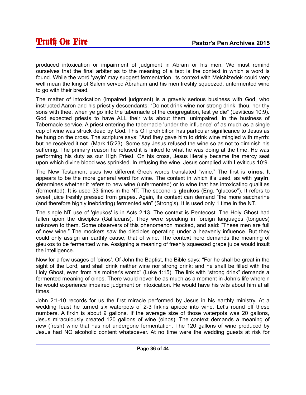produced intoxication or impairment of judgment in Abram or his men. We must remind ourselves that the final arbiter as to the meaning of a text is the context in which a word is found. While the word 'yayin' may suggest fermentation, its context with Melchizedek could very well mean the king of Salem served Abraham and his men freshly squeezed, unfermented wine to go with their bread.

The matter of intoxication (impaired judgment) is a gravely serious business with God, who instructed Aaron and his priestly descendants: "Do not drink wine nor strong drink, thou, nor thy sons with thee, when ye go into the tabernacle of the congregation, lest ye die" (Leviticus 10:9). God expected priests to have ALL their wits about them, unimpaired, in the business of Tabernacle service. A priest entering the tabernacle 'under the influence' of as much as a single cup of wine was struck dead by God. This OT prohibition has particular significance to Jesus as he hung on the cross. The scripture says: "And they gave him to drink wine mingled with myrrh: but he received it not" (Mark 15:23). Some say Jesus refused the wine so as not to diminish his suffering. The primary reason he refused it is linked to what he was doing at the time. He was performing his duty as our High Priest. On his cross, Jesus literally became the mercy seat upon which divine blood was sprinkled. In refusing the wine, Jesus complied with Leviticus 10:9.

The New Testament uses two different Greek words translated "wine." The first is **oinos**. It appears to be the more general word for wine. The context in which it's used, as with **yayin**, determines whether it refers to new wine (unfermented) or to wine that has intoxicating qualities (fermented). It is used 33 times in the NT. The second is **gleukos** (Eng. "glucose"). It refers to sweet juice freshly pressed from grapes. Again, its context can demand "the more saccharine (and therefore highly inebriating) fermented win" (Strong's). It is used only 1 time in the NT.

The single NT use of 'gleukos' is in Acts 2:13. The context is Pentecost. The Holy Ghost had fallen upon the disciples (Galilaeans). They were speaking in foreign languages (tongues) unknown to them. Some observers of this phenomenon mocked, and said: "These men are full of new wine." The mockers saw the disciples operating under a heavenly influence. But they could only assign an earthly cause, that of wine. The context here demands the meaning of gleukos to be fermented wine. Assigning a meaning of freshly squeezed grape juice would insult the intelligence.

Now for a few usages of 'oinos'. Of John the Baptist, the Bible says: "For he shall be great in the sight of the Lord, and shall drink neither wine nor strong drink; and he shall be filled with the Holy Ghost, even from his mother's womb" (Luke 1:15). The link with "strong drink" demands a fermented meaning of oinos. There would never be as much as a moment in John's life wherein he would experience impaired judgment or intoxication. He would have his wits about him at all times.

John 2:1-10 records for us the first miracle performed by Jesus in his earthly ministry. At a wedding feast he turned six waterpots of 2-3 firkins apiece into wine. Let's round off these numbers. A firkin is about 9 gallons. If the average size of those waterpots was 20 gallons, Jesus miraculously created 120 gallons of wine (oinos). The context demands a meaning of new (fresh) wine that has not undergone fermentation. The 120 gallons of wine produced by Jesus had NO alcoholic content whatsoever. At no time were the wedding guests at risk for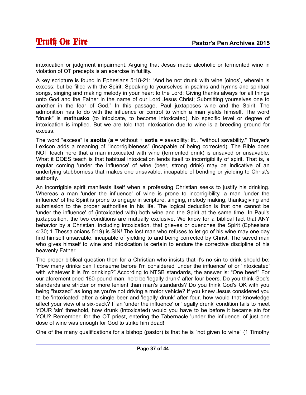intoxication or judgment impairment. Arguing that Jesus made alcoholic or fermented wine in violation of OT precepts is an exercise in futility.

A key scripture is found in Ephesians 5:18-21: "And be not drunk with wine [oinos], wherein is excess; but be filled with the Spirit; Speaking to yourselves in psalms and hymns and spiritual songs, singing and making melody in your heart to the Lord; Giving thanks always for all things unto God and the Father in the name of our Lord Jesus Christ; Submitting yourselves one to another in the fear of God." In this passage, Paul juxtaposes wine and the Spirit. The admonition has to do with the influence or control to which a man yields himself. The word "drunk" is **methusko** (to intoxicate, to become intoxicated). No specific level or degree of intoxication is implied. But we are told that intoxication due to wine is a breeding ground for excess.

The word "excess" is **asotia** (**a** = without + **sotia** = savability; lit., "without savability." Thayer's Lexicon adds a meaning of "incorrigibleness" (incapable of being corrected). The Bible does NOT teach here that a man intoxicated with wine (fermented drink) is unsaved or unsavable. What it DOES teach is that habitual intoxication lends itself to incorrigibility of spirit. That is, a regular coming 'under the influence' of wine (beer, strong drink) may be indicative of an underlying stubborness that makes one unsavable, incapable of bending or yielding to Christ's authority.

An incorrigible spirit manifests itself when a professing Christian seeks to justify his drinking. Whereas a man 'under the influence' of wine is prone to incorrigibility, a man 'under the influence' of the Spirit is prone to engage in scripture, singing, melody making, thanksgiving and submission to the proper authorities in his life. The logical deduction is that one cannot be 'under the influence' of (intoxicated with) both wine and the Spirit at the same time. In Paul's juxtaposition, the two conditions are mutually exclusive. We know for a biblical fact that ANY behavior by a Christian, including intoxication, that grieves or quenches the Spirit (Ephesians 4:30; 1 Thessalonians 5:19) is SIN! The lost man who refuses to let go of his wine may one day find himself unsavable, incapable of yielding to and being corrected by Christ. The saved man who gives himself to wine and intoxication is certain to endure the corrective discipline of his heavenly Father.

The proper biblical question then for a Christian who insists that it's no sin to drink should be: "How many drinks can I consume before I'm considered 'under the influence' of or 'intoxicated' with whatever it is I'm drinking?" According to NTSB standards, the answer is: "One beer!" For our aforementioned 160-pound man, he'd be 'legally drunk' after four beers. Do you think God's standards are stricter or more lenient than man's standards? Do you think God's OK with you being "buzzed" as long as you're not driving a motor vehicle? If you knew Jesus considered you to be 'intoxicated' after a single beer and 'legally drunk' after four, how would that knowledge affect your view of a six-pack? If an 'under the influence' or 'legally drunk' condition fails to meet YOUR 'sin' threshold, how drunk (intoxicated) would you have to be before it became sin for YOU? Remember, for the OT priest, entering the Tabernacle 'under the influence' of just one dose of wine was enough for God to strike him dead!

One of the many qualifications for a bishop (pastor) is that he is "not given to wine" (1 Timothy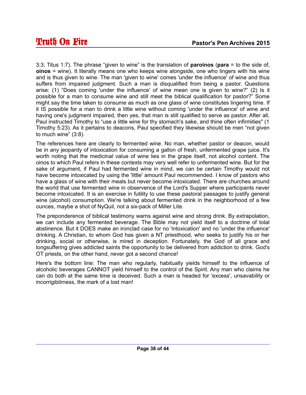3:3; Titus 1:7). The phrase "given to wine" is the translation of **paroinos** (**para** = to the side of, **oinos** = wine). It literally means one who keeps wine alongside, one who lingers with his wine and is thus given to wine. The man 'given to wine' comes 'under the influence' of wine and thus suffers from impaired judgment. Such a man is disqualified from being a pastor. Questions arise: (1) "Does coming 'under the influence' of wine mean one is given to wine?" (2) Is it possible for a man to consume wine and still meet the biblical qualification for pastor?" Some might say the time taken to consume as much as one glass of wine constitutes lingering time. If it IS possible for a man to drink a little wine without coming 'under the influence' of wine and having one's judgment impaired, then yes, that man is still qualified to serve as pastor. After all, Paul instructed Timothy to "use a little wine for thy stomach's sake, and thine often infirmities" (1 Timothy 5:23). As it pertains to deacons, Paul specified they likewise should be men "not given to much wine" (3:8).

The references here are clearly to fermented wine. No man, whether pastor or deacon, would be in any jeopardy of intoxication for consuming a gallon of fresh, unfermented grape juice. It's worth noting that the medicinal value of wine lies in the grape itself, not alcohol content. The oinos to which Paul refers in these contexts may very well refer to unfermented wine. But for the sake of argument, if Paul had fermented wine in mind, we can be certain Timothy would not have become intoxicated by using the 'little' amount Paul recommended. I know of pastors who have a glass of wine with their meals but never become intoxicated. There are churches around the world that use fermented wine in observence of the Lord's Supper where participants never become intoxicated. It is an exercise in futility to use these pastoral passages to justify general wine (alcohol) consumption. We're talking about fermented drink in the neighborhood of a few ounces, maybe a shot of NyQuil, not a six-pack of Miller Lite.

The preponderence of biblical testimony warns against wine and strong drink. By extrapolation, we can include any fermented beverage. The Bible may not yield itself to a doctrine of total abstinence. But it DOES make an ironclad case for no 'intoxication' and no 'under the influence' drinking. A Christian, to whom God has given a NT priesthood, who seeks to justify his or her drinking, social or otherwise, is mired in deception. Fortunately, the God of all grace and longsuffering gives addicted saints the opportunity to be delivered from addiction to drink. God's OT priests, on the other hand, never got a second chance!

Here's the bottom line: The man who regularly, habitually yields himself to the influence of alcoholic beverages CANNOT yield himself to the control of the Spirit. Any man who claims he can do both at the same time is deceived. Such a man is headed for 'excess', unsavability or incorrigibilrness, the mark of a lost man!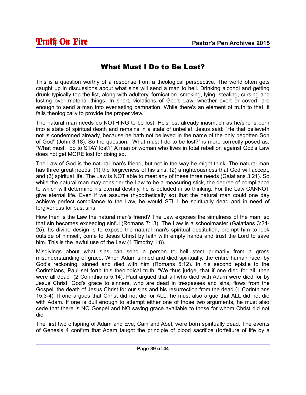## What Must I Do to Be Lost?

This is a question worthy of a response from a theological perspective. The world often gets caught up in discussions about what sins will send a man to hell. Drinking alcohol and getting drunk typically top the list, along with adultery, fornication. smoking, lying, stealing, cursing and lusting over material things. In short, violations of God's Law, whether overt or covert, are enough to send a man into everlasting damnation. While there's an element of truth to that, it fails theologically to provide the proper view.

The natural man needs do NOTHING to be lost. He's lost already inasmuch as he/she is born into a state of spiritual death and remains in a state of unbelief. Jesus said: "He that believeth not is condemned already, because he hath not believed in the name of the only begotten Son of God" (John 3:18). So the question, "What must I do to be lost?" is more correctly posed as, "What must I do to STAY lost?" A man or woman who lives in total rebellion against God's Law does not get MORE lost for doing so.

The Law of God is the natural man's friend, but not in the way he might think. The natural man has three great needs: (1) the forgiveness of his sins, (2) a righteousness that God will accept, and (3) spiritual life. The Law is NOT able to meet any of these three needs (Galatians 3:21). So while the natural man may consider the Law to be a measuring stick, the degree of compliance to which will determine his eternal destiny, he is deluded in so thinking. For the Law CANNOT give eternal life. Even if we assume (hypothetically so) that the natural man could one day achieve perfect compliance to the Law, he would STILL be spiritually dead and in need of forgiveness for past sins.

How then is the Law the natural man's friend? The Law exposes the sinfulness of the man, so that sin becomes exceeding sinful (Romans 7:13). The Law is a schoolmaster (Galatians 3:24- 25). Its divine design is to expose the natural man's spiritual destitution, prompt him to look outside of himself, come to Jesus Christ by faith with empty hands and trust the Lord to save him. This is the lawful use of the Law (1 Timothy 1:8).

Misgivings about what sins can send a person to hell stem primarily from a gross misunderstanding of grace. When Adam sinned and died spiritually, the entire human race, by God's reckoning, sinned and died with him (Romans 5:12). In his second epistle to the Corinthians, Paul set forth this theological truth: "We thus judge, that if one died for all, then were all dead" (2 Corinthians 5:14). Paul argued that all who died with Adam were died for by Jesus Christ. God's grace to sinners, who are dead in trespasses and sins, flows from the Gospel, the death of Jesus Christ for our sins and his resurrection from the dead (1 Corinthians 15:3-4). If one argues that Christ did not die for ALL, he must also argue that ALL did not die with Adam. If one is dull enough to attempt either one of those two arguments, he must also cede that there is NO Gospel and NO saving grace available to those for whom Christ did not die.

The first two offspring of Adam and Eve, Cain and Abel, were born spiritually dead. The events of Genesis 4 confirm that Adam taught the principle of blood sacrifice (forfeiture of life by a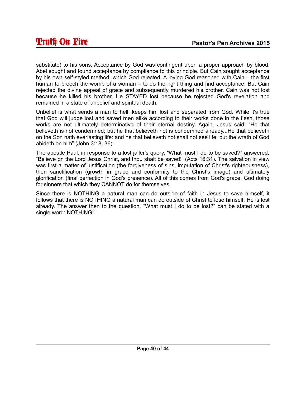substitute) to his sons. Acceptance by God was contingent upon a proper approach by blood. Abel sought and found acceptance by compliance to this principle. But Cain sought acceptance by his own self-styled method, which God rejected. A loving God reasoned with Cain – the first human to breech the womb of a woman – to do the right thing and find acceptance. But Cain rejected the divine appeal of grace and subsequently murdered his brother. Cain was not lost because he killed his brother. He STAYED lost because he rejected God's revelation and remained in a state of unbelief and spiritual death.

Unbelief is what sends a man to hell, keeps him lost and separated from God. While it's true that God will judge lost and saved men alike according to their works done in the flesh, those works are not ultimately determinative of their eternal destiny. Again, Jesus said: "He that believeth is not condemned; but he that believeth not is condemned already...He that believeth on the Son hath everlasting life: and he that believeth not shall not see life; but the wrath of God abideth on him" (John 3:18, 36).

The apostle Paul, in response to a lost jailer's query, "What must I do to be saved?" answered, "Believe on the Lord Jesus Christ, and thou shalt be saved!" (Acts 16:31). The salvation in view was first a matter of justification (the forgiveness of sins, imputation of Christ's righteousness), then sanctification (growth in grace and conformity to the Christ's image) and ultimately glorification (final perfection in God's presence). All of this comes from God's grace, God doing for sinners that which they CANNOT do for themselves.

Since there is NOTHING a natural man can do outside of faith in Jesus to save himself, it follows that there is NOTHING a natural man can do outside of Christ to lose himself. He is lost already. The answer then to the question, "What must I do to be lost?" can be stated with a single word: NOTHING!"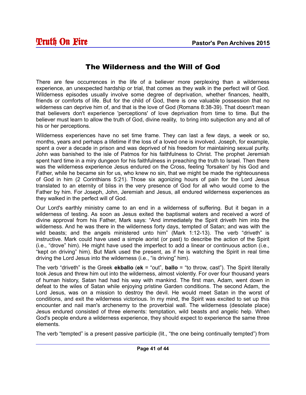#### The Wilderness and the Will of God

There are few occurrences in the life of a believer more perplexing than a wilderness experience, an unexpected hardship or trial, that comes as they walk in the perfect will of God. Wilderness episodes usually involve some degree of deprivation, whether finances, health, friends or comforts of life. But for the child of God, there is one valuable possession that no wilderness can deprive him of, and that is the love of God (Romans 8:38-39). That doesn't mean that believers don't experience 'perceptions' of love deprivation from time to time. But the believer must learn to allow the truth of God, divine reality, to bring into subjection any and all of his or her perceptions.

Wilderness experiences have no set time frame. They can last a few days, a week or so, months, years and perhaps a lifetime if the loss of a loved one is involved. Joseph, for example, spent a over a decade in prison and was deprived of his freedom for maintaining sexual purity. John was banished to the isle of Patmos for his faithfulness to Christ. The prophet Jeremiah spent hard time in a miry dungeon for his faithfulness in preaching the truth to Israel. Then there was the wilderness experience Jesus endured on the Cross, feeling 'forsaken' by his God and Father, while he became sin for us, who knew no sin, that we might be made the righteousness of God in him (2 Corinthians 5:21). Those six agonizing hours of pain for the Lord Jesus translated to an eternity of bliss in the very presence of God for all who would come to the Father by him. For Joseph, John, Jeremiah and Jesus, all endured wilderness experiences as they walked in the perfect will of God.

Our Lord's earthly ministry came to an end in a wilderness of suffering. But it began in a wilderness of testing. As soon as Jesus exited the baptismal waters and received a word of divine approval from his Father, Mark says: "And immediately the Spirit driveth him into the wilderness. And he was there in the wilderness forty days, tempted of Satan; and was with the wild beasts; and the angels ministered unto him" (Mark 1:12-13). The verb "driveth" is instructive. Mark could have used a simple aorist (or past) to describe the action of the Spirit (i.e., "drove" him). He might have used the imperfect to add a linear or continuous action (i.e., "kept on driving" him). But Mark used the present, as if he is watching the Spirit in real time driving the Lord Jesus into the wilderness (i.e., "is driving" him).

The verb "driveth" is the Greek **ekballo** (**ek** = "out", **ballo** = "to throw, cast"). The Spirit literally took Jesus and threw him out into the wilderness, almost violently. For over four thousand years of human history, Satan had had his way with mankind. The first man, Adam, went down in defeat to the wiles of Satan while enjoying pristine Garden conditions. The second Adam, the Lord Jesus, was on a mission to destroy the devil. He would meet Satan in the worst of conditions, and exit the wilderness victorious. In my mind, the Spirit was excited to set up this encounter and nail man's archenemy to the proverbial wall. The wilderness (desolate place) Jesus endured consisted of three elements: temptation, wild beasts and angelic help. When God's people endure a wilderness experience, they should expect to experience the same three elements.

The verb "tempted" is a present passive participle (lit., "the one being continually tempted") from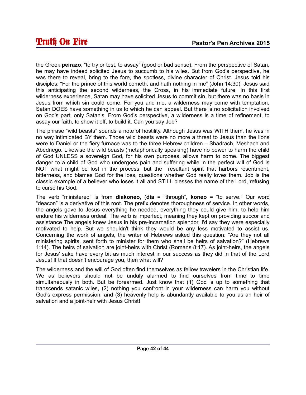the Greek **peirazo**, "to try or test, to assay" (good or bad sense). From the perspective of Satan, he may have indeed solicited Jesus to succumb to his wiles. But from God's perspective, he was there to reveal, bring to the fore, the spotless, divine character of Christ. Jesus told his disciples: "For the prince of this world cometh, and hath nothing in me" (John 14:30). Jesus said this anticipating the second wilderness, the Cross, in his immediate future. In this first wilderness experience, Satan may have solicited Jesus to commit sin, but there was no basis in Jesus from which sin could come. For you and me, a wilderness may come with temptation. Satan DOES have something in us to which he can appeal. But there is no solicitation involved on God's part; only Satan's. From God's perspective, a wilderness is a time of refinement, to assay our faith, to show it off, to build it. Can you say Job?

The phrase "wild beasts" sounds a note of hostility. Although Jesus was WITH them, he was in no way intimidated BY them. Those wild beasts were no more a threat to Jesus than the lions were to Daniel or the fiery furnace was to the three Hebrew children – Shadrach, Meshach and Abednego. Likewise the wild beasts (metaphorically speaking) have no power to harm the child of God UNLESS a sovereign God, for his own purposes, allows harm to come. The biggest danger to a child of God who undergoes pain and suffering while in the perfect will of God is NOT what might be lost in the process, but the resultant spirit that harbors resentment, bitterness, and blames God for the loss, questions whether God really loves them. Job is the classic example of a believer who loses it all and STILL blesses the name of the Lord, refusing to curse his God.

The verb "ministered" is from **diakoneo**, (**dia** = "through", **koneo** = "to serve." Our word "deacon" is a derivative of this root. The prefix denotes thoroughness of service. In other words, the angels gave to Jesus everything he needed, everything they could give him, to help him endure his wilderness ordeal. The verb is imperfect, meaning they kept on providing succor and assistance The angels knew Jesus in his pre-incarnation splendor. I'd say they were especially motivated to help. But we shouldn't think they would be any less motivated to assist us. Concerning the work of angels, the writer of Hebrews asked this question: "Are they not all ministering spirits, sent forth to minister for them who shall be heirs of salvation?" (Hebrews 1:14). The heirs of salvation are joint-heirs with Christ (Romans 8:17). As joint-heirs, the angels for Jesus' sake have every bit as much interest in our success as they did in that of the Lord Jesus! If that doesn't encourage you, then what will?

The wilderness and the will of God often find themselves as fellow travelers in the Christian life. We as believers should not be unduly alarmed to find ourselves from time to time simultaneously in both. But be forearmed. Just know that (1) God is up to something that transcends satanic wiles, (2) nothing you confront in your wilderness can harm you without God's express permission, and (3) heavenly help is abundantly available to you as an heir of salvation and a joint-heir with Jesus Christ!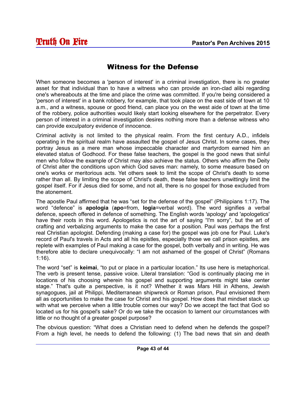#### Witness for the Defense

When someone becomes a 'person of interest' in a criminal investigation, there is no greater asset for that individual than to have a witness who can provide an iron-clad alibi regarding one's whereabouts at the time and place the crime was committed. If you're being considered a 'person of interest' in a bank robbery, for example, that took place on the east side of town at 10 a.m., and a witness, spouse or good friend, can place you on the west aide of town at the time of the robbery, police authorities would likely start looking elsewhere for the perpetrator. Every person of interest in a criminal investigation desires nothing more than a defense witness who can provide exculpatory evidence of innocence.

Criminal activity is not limited to the physical realm. From the first century A.D., infidels operating in the spiritual realm have assaulted the gospel of Jesus Christ. In some cases, they portray Jesus as a mere man whose impeccable character and martyrdom earned him an elevated status of Godhood. For these false teachers, the gospel is the good news that sinful men who follow the example of Christ may also achieve the status. Others who affirm the Deity of Christ alter the conditions upon which God saves man: namely, to some measure based on one's works or meritorious acts. Yet others seek to limit the scope of Christ's death to some rather than all. By limiting the scope of Christ's death, these false teachers unwittingly limit the gospel itself. For if Jesus died for some, and not all, there is no gospel for those excluded from the atonement.

The apostle Paul affirmed that he was "set for the defense of the gospel" (Philippians 1:17). The word "defence" is **apologia** (**apo**=from, **logia**=verbal word). The word signifies a verbal defence, speech offered in defence of something. The English words 'apology' and 'apologetics' have their roots in this word. Apologetics is not the art of saying "I'm sorry", but the art of crafting and verbalizing arguments to make the case for a position. Paul was perhaps the first real Christian apologist. Defending (making a case for) the gospel was job one for Paul. Luke's record of Paul's travels in Acts and all his epistles, especially those we call prison epistles, are replete with examples of Paul making a case for the gospel, both verbally and in writing. He was therefore able to declare unequivocally: "I am not ashamed of the gospel of Christ" (Romans 1:16).

The word "set" is **keimai**, "to put or place in a particular location." Its use here is metaphorical. The verb is present tense, passive voice. Literal translation: "God is continually placing me in locations of his choosing wherein his gospel and supporting arguments might take center stage." That's quite a perspective, is it not? Whether it was Mars Hill in Athens, Jewish synagogues, jail at Philippi, Mediterranean shipwreck or Roman prison, Paul envisioned them all as opportunities to make the case for Christ and his gospel. How does that mindset stack up with what we perceive when a little trouble comes our way? Do we accept the fact that God so located us for his gospel's sake? Or do we take the occasion to lament our circumstances with little or no thought of a greater gospel purpose?

The obvious question: "What does a Christian need to defend when he defends the gospel? From a high level, he needs to defend the following: (1) The bad news that sin and death